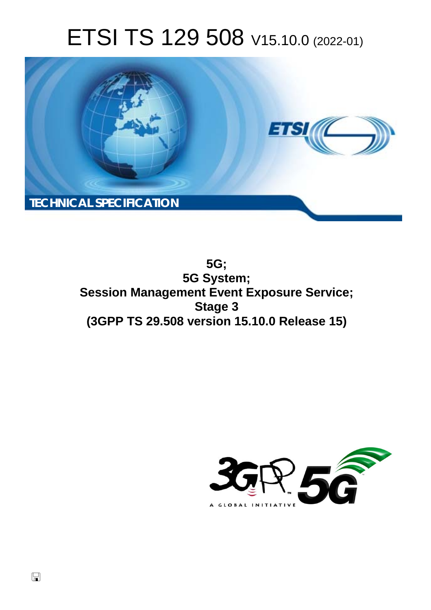# ETSI TS 129 508 V15.10.0 (2022-01)



**5G; 5G System; Session Management Event Exposure Service; Stage 3 (3GPP TS 29.508 version 15.10.0 Release 15)** 

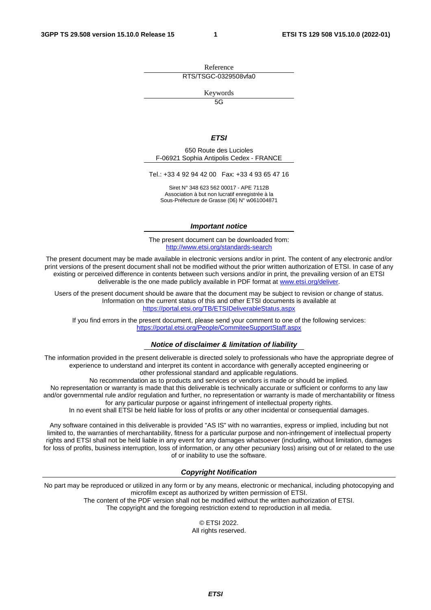Reference RTS/TSGC-0329508vfa0

Keywords

 $\overline{5G}$ 

#### *ETSI*

650 Route des Lucioles F-06921 Sophia Antipolis Cedex - FRANCE

Tel.: +33 4 92 94 42 00 Fax: +33 4 93 65 47 16

Siret N° 348 623 562 00017 - APE 7112B Association à but non lucratif enregistrée à la Sous-Préfecture de Grasse (06) N° w061004871

#### *Important notice*

The present document can be downloaded from: <http://www.etsi.org/standards-search>

The present document may be made available in electronic versions and/or in print. The content of any electronic and/or print versions of the present document shall not be modified without the prior written authorization of ETSI. In case of any existing or perceived difference in contents between such versions and/or in print, the prevailing version of an ETSI deliverable is the one made publicly available in PDF format at [www.etsi.org/deliver](http://www.etsi.org/deliver).

Users of the present document should be aware that the document may be subject to revision or change of status. Information on the current status of this and other ETSI documents is available at <https://portal.etsi.org/TB/ETSIDeliverableStatus.aspx>

If you find errors in the present document, please send your comment to one of the following services: <https://portal.etsi.org/People/CommiteeSupportStaff.aspx>

#### *Notice of disclaimer & limitation of liability*

The information provided in the present deliverable is directed solely to professionals who have the appropriate degree of experience to understand and interpret its content in accordance with generally accepted engineering or other professional standard and applicable regulations.

No recommendation as to products and services or vendors is made or should be implied.

No representation or warranty is made that this deliverable is technically accurate or sufficient or conforms to any law and/or governmental rule and/or regulation and further, no representation or warranty is made of merchantability or fitness for any particular purpose or against infringement of intellectual property rights.

In no event shall ETSI be held liable for loss of profits or any other incidental or consequential damages.

Any software contained in this deliverable is provided "AS IS" with no warranties, express or implied, including but not limited to, the warranties of merchantability, fitness for a particular purpose and non-infringement of intellectual property rights and ETSI shall not be held liable in any event for any damages whatsoever (including, without limitation, damages for loss of profits, business interruption, loss of information, or any other pecuniary loss) arising out of or related to the use of or inability to use the software.

#### *Copyright Notification*

No part may be reproduced or utilized in any form or by any means, electronic or mechanical, including photocopying and microfilm except as authorized by written permission of ETSI. The content of the PDF version shall not be modified without the written authorization of ETSI.

The copyright and the foregoing restriction extend to reproduction in all media.

© ETSI 2022. All rights reserved.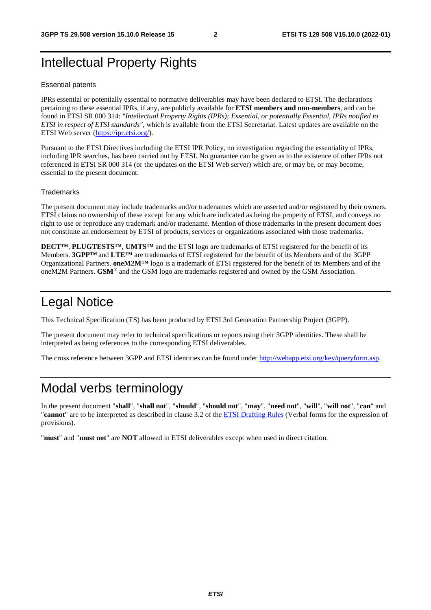# Intellectual Property Rights

#### Essential patents

IPRs essential or potentially essential to normative deliverables may have been declared to ETSI. The declarations pertaining to these essential IPRs, if any, are publicly available for **ETSI members and non-members**, and can be found in ETSI SR 000 314: *"Intellectual Property Rights (IPRs); Essential, or potentially Essential, IPRs notified to ETSI in respect of ETSI standards"*, which is available from the ETSI Secretariat. Latest updates are available on the ETSI Web server [\(https://ipr.etsi.org/](https://ipr.etsi.org/)).

Pursuant to the ETSI Directives including the ETSI IPR Policy, no investigation regarding the essentiality of IPRs, including IPR searches, has been carried out by ETSI. No guarantee can be given as to the existence of other IPRs not referenced in ETSI SR 000 314 (or the updates on the ETSI Web server) which are, or may be, or may become, essential to the present document.

#### **Trademarks**

The present document may include trademarks and/or tradenames which are asserted and/or registered by their owners. ETSI claims no ownership of these except for any which are indicated as being the property of ETSI, and conveys no right to use or reproduce any trademark and/or tradename. Mention of those trademarks in the present document does not constitute an endorsement by ETSI of products, services or organizations associated with those trademarks.

**DECT™**, **PLUGTESTS™**, **UMTS™** and the ETSI logo are trademarks of ETSI registered for the benefit of its Members. **3GPP™** and **LTE™** are trademarks of ETSI registered for the benefit of its Members and of the 3GPP Organizational Partners. **oneM2M™** logo is a trademark of ETSI registered for the benefit of its Members and of the oneM2M Partners. **GSM**® and the GSM logo are trademarks registered and owned by the GSM Association.

# Legal Notice

This Technical Specification (TS) has been produced by ETSI 3rd Generation Partnership Project (3GPP).

The present document may refer to technical specifications or reports using their 3GPP identities. These shall be interpreted as being references to the corresponding ETSI deliverables.

The cross reference between 3GPP and ETSI identities can be found under<http://webapp.etsi.org/key/queryform.asp>.

# Modal verbs terminology

In the present document "**shall**", "**shall not**", "**should**", "**should not**", "**may**", "**need not**", "**will**", "**will not**", "**can**" and "**cannot**" are to be interpreted as described in clause 3.2 of the [ETSI Drafting Rules](https://portal.etsi.org/Services/editHelp!/Howtostart/ETSIDraftingRules.aspx) (Verbal forms for the expression of provisions).

"**must**" and "**must not**" are **NOT** allowed in ETSI deliverables except when used in direct citation.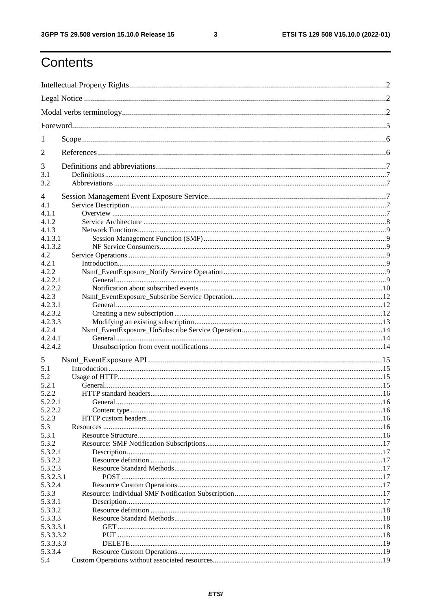$\mathbf{3}$ 

# Contents

| 1              |         |  |
|----------------|---------|--|
| 2              |         |  |
| 3              |         |  |
| 3.1            |         |  |
| 3.2            |         |  |
| $\overline{4}$ |         |  |
| 4.1            |         |  |
| 4.1.1          |         |  |
| 4.1.2          |         |  |
| 4.1.3          |         |  |
| 4.1.3.1        |         |  |
| 4.1.3.2        |         |  |
| 4.2            |         |  |
| 4.2.1          |         |  |
| 4.2.2          |         |  |
| 4.2.2.1        |         |  |
| 4.2.2.2        |         |  |
| 4.2.3          |         |  |
| 4.2.3.1        |         |  |
| 4.2.3.2        |         |  |
| 4.2.3.3        |         |  |
| 4.2.4          |         |  |
| 4.2.4.1        |         |  |
| 4.2.4.2        |         |  |
| 5              |         |  |
| 5.1            |         |  |
| 5.2            |         |  |
| 5.2.1          |         |  |
| 5.2.2          |         |  |
| 5.2.2.1        | General |  |
| 5.2.2.2        |         |  |
| 5.2.3          |         |  |
| 5.3            |         |  |
| 5.3.1          |         |  |
| 5.3.2          |         |  |
| 5.3.2.1        |         |  |
| 5.3.2.2        |         |  |
| 5.3.2.3        |         |  |
| 5.3.2.3.1      |         |  |
| 5.3.2.4        |         |  |
| 5.3.3          |         |  |
| 5.3.3.1        |         |  |
| 5.3.3.2        |         |  |
| 5.3.3.3        |         |  |
| 5.3.3.3.1      |         |  |
| 5.3.3.3.2      |         |  |
| 5.3.3.3.3      |         |  |
| 5.3.3.4        |         |  |
| 5.4            |         |  |
|                |         |  |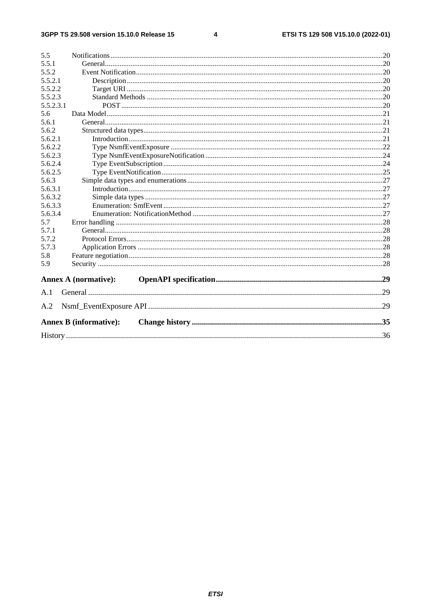$\overline{\mathbf{4}}$ 

| 5.5       |                               |  |
|-----------|-------------------------------|--|
| 5.5.1     |                               |  |
| 5.5.2     |                               |  |
| 5.5.2.1   |                               |  |
| 5.5.2.2   |                               |  |
| 5.5.2.3   |                               |  |
| 5.5.2.3.1 |                               |  |
| 5.6       |                               |  |
| 5.6.1     |                               |  |
| 5.6.2     |                               |  |
| 5.6.2.1   |                               |  |
| 5.6.2.2   |                               |  |
| 5.6.2.3   |                               |  |
| 5.6.2.4   |                               |  |
| 5.6.2.5   |                               |  |
| 5.6.3     |                               |  |
| 5.6.3.1   |                               |  |
| 5.6.3.2   |                               |  |
| 5.6.3.3   |                               |  |
| 5.6.3.4   |                               |  |
| 5.7       |                               |  |
| 5.7.1     |                               |  |
| 5.7.2     |                               |  |
| 5.7.3     |                               |  |
| 5.8       |                               |  |
| 5.9       |                               |  |
|           | <b>Annex A (normative):</b>   |  |
| A.1       |                               |  |
| A.2       |                               |  |
|           | <b>Annex B</b> (informative): |  |
|           |                               |  |
|           |                               |  |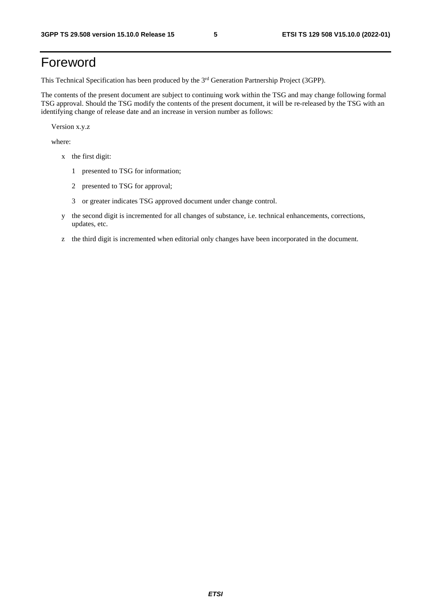# Foreword

This Technical Specification has been produced by the 3<sup>rd</sup> Generation Partnership Project (3GPP).

The contents of the present document are subject to continuing work within the TSG and may change following formal TSG approval. Should the TSG modify the contents of the present document, it will be re-released by the TSG with an identifying change of release date and an increase in version number as follows:

Version x.y.z

where:

- x the first digit:
	- 1 presented to TSG for information;
	- 2 presented to TSG for approval;
	- 3 or greater indicates TSG approved document under change control.
- y the second digit is incremented for all changes of substance, i.e. technical enhancements, corrections, updates, etc.
- z the third digit is incremented when editorial only changes have been incorporated in the document.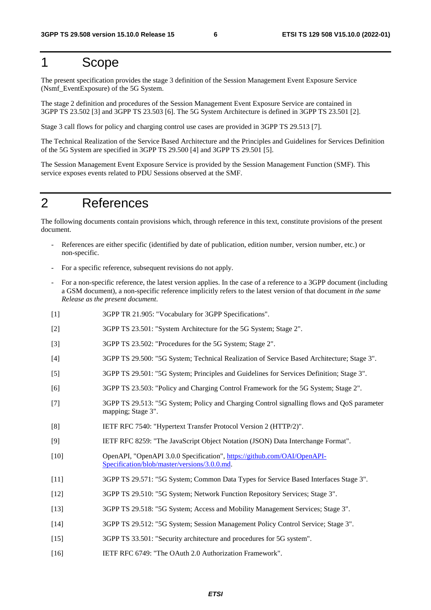# 1 Scope

The present specification provides the stage 3 definition of the Session Management Event Exposure Service (Nsmf\_EventExposure) of the 5G System.

The stage 2 definition and procedures of the Session Management Event Exposure Service are contained in 3GPP TS 23.502 [3] and 3GPP TS 23.503 [6]. The 5G System Architecture is defined in 3GPP TS 23.501 [2].

Stage 3 call flows for policy and charging control use cases are provided in 3GPP TS 29.513 [7].

The Technical Realization of the Service Based Architecture and the Principles and Guidelines for Services Definition of the 5G System are specified in 3GPP TS 29.500 [4] and 3GPP TS 29.501 [5].

The Session Management Event Exposure Service is provided by the Session Management Function (SMF). This service exposes events related to PDU Sessions observed at the SMF.

# 2 References

The following documents contain provisions which, through reference in this text, constitute provisions of the present document.

- References are either specific (identified by date of publication, edition number, version number, etc.) or non-specific.
- For a specific reference, subsequent revisions do not apply.
- For a non-specific reference, the latest version applies. In the case of a reference to a 3GPP document (including a GSM document), a non-specific reference implicitly refers to the latest version of that document *in the same Release as the present document*.
- [1] 3GPP TR 21.905: "Vocabulary for 3GPP Specifications".
- [2] 3GPP TS 23.501: "System Architecture for the 5G System; Stage 2".
- [3] 3GPP TS 23.502: "Procedures for the 5G System; Stage 2".
- [4] 3GPP TS 29.500: "5G System; Technical Realization of Service Based Architecture; Stage 3".
- [5] 3GPP TS 29.501: "5G System; Principles and Guidelines for Services Definition; Stage 3".
- [6] 3GPP TS 23.503: "Policy and Charging Control Framework for the 5G System; Stage 2".
- [7] 3GPP TS 29.513: "5G System; Policy and Charging Control signalling flows and QoS parameter mapping; Stage 3".
- [8] IETF RFC 7540: "Hypertext Transfer Protocol Version 2 (HTTP/2)".
- [9] IETF RFC 8259: "The JavaScript Object Notation (JSON) Data Interchange Format".
- [10] OpenAPI, "OpenAPI 3.0.0 Specification", [https://github.com/OAI/OpenAPI](https://github.com/OAI/OpenAPI-Specification/blob/master/versions/3.0.0.md)-[Specification/blob/master/versions/3.0.0.md](https://github.com/OAI/OpenAPI-Specification/blob/master/versions/3.0.0.md).
- [11] 3GPP TS 29.571: "5G System; Common Data Types for Service Based Interfaces Stage 3".
- [12] 3GPP TS 29.510: "5G System; Network Function Repository Services; Stage 3".
- [13] 3GPP TS 29.518: "5G System; Access and Mobility Management Services; Stage 3".
- [14] 3GPP TS 29.512: "5G System; Session Management Policy Control Service; Stage 3".
- [15] 3GPP TS 33.501: "Security architecture and procedures for 5G system".
- [16] IETF RFC 6749: "The OAuth 2.0 Authorization Framework".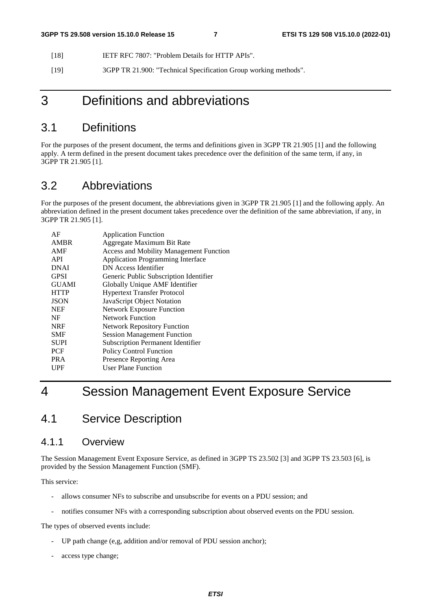- [18] IETF RFC 7807: "Problem Details for HTTP APIs".
- [19] 3GPP TR 21.900: "Technical Specification Group working methods".

# 3 Definitions and abbreviations

# 3.1 Definitions

For the purposes of the present document, the terms and definitions given in 3GPP TR 21.905 [1] and the following apply. A term defined in the present document takes precedence over the definition of the same term, if any, in 3GPP TR 21.905 [1].

# 3.2 Abbreviations

For the purposes of the present document, the abbreviations given in 3GPP TR 21.905 [1] and the following apply. An abbreviation defined in the present document takes precedence over the definition of the same abbreviation, if any, in 3GPP TR 21.905 [1].

| AF           | <b>Application Function</b>                    |
|--------------|------------------------------------------------|
| <b>AMBR</b>  | Aggregate Maximum Bit Rate                     |
| AMF          | <b>Access and Mobility Management Function</b> |
| API          | <b>Application Programming Interface</b>       |
| <b>DNAI</b>  | DN Access Identifier                           |
| <b>GPSI</b>  | Generic Public Subscription Identifier         |
| <b>GUAMI</b> | Globally Unique AMF Identifier                 |
| <b>HTTP</b>  | <b>Hypertext Transfer Protocol</b>             |
| <b>JSON</b>  | JavaScript Object Notation                     |
| <b>NEF</b>   | <b>Network Exposure Function</b>               |
| NF           | Network Function                               |
| <b>NRF</b>   | <b>Network Repository Function</b>             |
| <b>SMF</b>   | <b>Session Management Function</b>             |
| <b>SUPI</b>  | <b>Subscription Permanent Identifier</b>       |
| <b>PCF</b>   | <b>Policy Control Function</b>                 |
| <b>PRA</b>   | Presence Reporting Area                        |
| UPF          | <b>User Plane Function</b>                     |
|              |                                                |

# 4 Session Management Event Exposure Service

# 4.1 Service Description

### 4.1.1 Overview

The Session Management Event Exposure Service, as defined in 3GPP TS 23.502 [3] and 3GPP TS 23.503 [6], is provided by the Session Management Function (SMF).

This service:

- allows consumer NFs to subscribe and unsubscribe for events on a PDU session; and
- notifies consumer NFs with a corresponding subscription about observed events on the PDU session.

The types of observed events include:

- UP path change (e,g, addition and/or removal of PDU session anchor);
- access type change;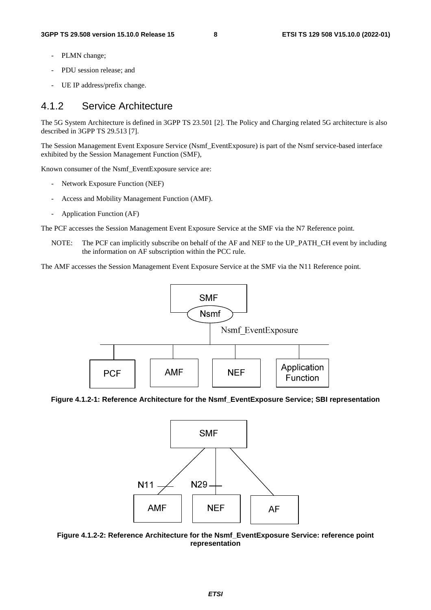- PLMN change;
- PDU session release; and
- UE IP address/prefix change.

# 4.1.2 Service Architecture

The 5G System Architecture is defined in 3GPP TS 23.501 [2]. The Policy and Charging related 5G architecture is also described in 3GPP TS 29.513 [7].

The Session Management Event Exposure Service (Nsmf\_EventExposure) is part of the Nsmf service-based interface exhibited by the Session Management Function (SMF),

Known consumer of the Nsmf\_EventExposure service are:

- Network Exposure Function (NEF)
- Access and Mobility Management Function (AMF).
- Application Function (AF)

The PCF accesses the Session Management Event Exposure Service at the SMF via the N7 Reference point.

NOTE: The PCF can implicitly subscribe on behalf of the AF and NEF to the UP\_PATH\_CH event by including the information on AF subscription within the PCC rule.

The AMF accesses the Session Management Event Exposure Service at the SMF via the N11 Reference point.



**Figure 4.1.2-1: Reference Architecture for the Nsmf\_EventExposure Service; SBI representation** 



**Figure 4.1.2-2: Reference Architecture for the Nsmf\_EventExposure Service: reference point representation**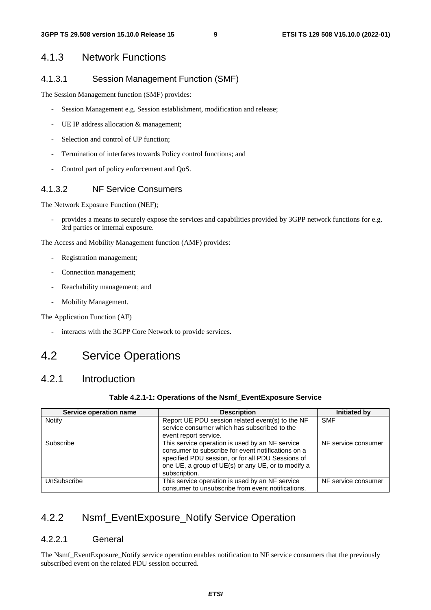### 4.1.3 Network Functions

### 4.1.3.1 Session Management Function (SMF)

The Session Management function (SMF) provides:

- Session Management e.g. Session establishment, modification and release;
- UE IP address allocation & management;
- Selection and control of UP function;
- Termination of interfaces towards Policy control functions; and
- Control part of policy enforcement and QoS.

### 4.1.3.2 NF Service Consumers

The Network Exposure Function (NEF);

- provides a means to securely expose the services and capabilities provided by 3GPP network functions for e.g. 3rd parties or internal exposure.

The Access and Mobility Management function (AMF) provides:

- Registration management;
- Connection management;
- Reachability management; and
- Mobility Management.

The Application Function (AF)

- interacts with the 3GPP Core Network to provide services.

# 4.2 Service Operations

# 4.2.1 Introduction

#### **Table 4.2.1-1: Operations of the Nsmf\_EventExposure Service**

| Service operation name | <b>Description</b>                                                                                                                                                                                                                | Initiated by        |
|------------------------|-----------------------------------------------------------------------------------------------------------------------------------------------------------------------------------------------------------------------------------|---------------------|
| Notify                 | Report UE PDU session related event(s) to the NF<br>service consumer which has subscribed to the<br>event report service.                                                                                                         | <b>SMF</b>          |
| Subscribe              | This service operation is used by an NF service<br>consumer to subscribe for event notifications on a<br>specified PDU session, or for all PDU Sessions of<br>one UE, a group of UE(s) or any UE, or to modify a<br>subscription. | NF service consumer |
| UnSubscribe            | This service operation is used by an NF service<br>consumer to unsubscribe from event notifications.                                                                                                                              | NF service consumer |

# 4.2.2 Nsmf\_EventExposure\_Notify Service Operation

#### 4.2.2.1 General

The Nsmf\_EventExposure\_Notify service operation enables notification to NF service consumers that the previously subscribed event on the related PDU session occurred.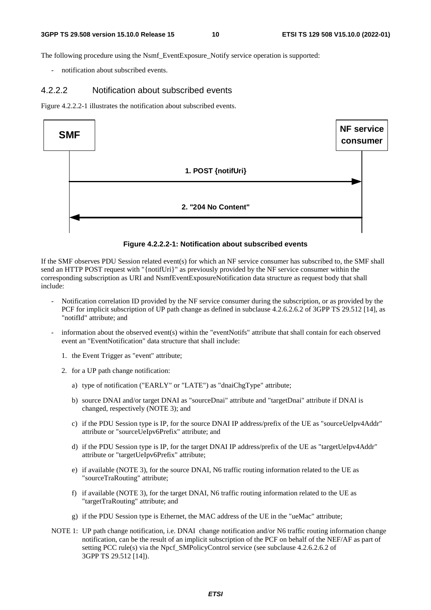The following procedure using the Nsmf\_EventExposure\_Notify service operation is supported:

notification about subscribed events.

#### 4.2.2.2 Notification about subscribed events

Figure 4.2.2.2-1 illustrates the notification about subscribed events.



#### **Figure 4.2.2.2-1: Notification about subscribed events**

If the SMF observes PDU Session related event(s) for which an NF service consumer has subscribed to, the SMF shall send an HTTP POST request with "{notifUri}" as previously provided by the NF service consumer within the corresponding subscription as URI and NsmfEventExposureNotification data structure as request body that shall include:

- Notification correlation ID provided by the NF service consumer during the subscription, or as provided by the PCF for implicit subscription of UP path change as defined in subclause 4.2.6.2.6.2 of 3GPP TS 29.512 [14], as "notifId" attribute; and
- information about the observed event(s) within the "eventNotifs" attribute that shall contain for each observed event an "EventNotification" data structure that shall include:
	- 1. the Event Trigger as "event" attribute;
	- 2. for a UP path change notification:
		- a) type of notification ("EARLY" or "LATE") as "dnaiChgType" attribute;
		- b) source DNAI and/or target DNAI as "sourceDnai" attribute and "targetDnai" attribute if DNAI is changed, respectively (NOTE 3); and
		- c) if the PDU Session type is IP, for the source DNAI IP address/prefix of the UE as "sourceUeIpv4Addr" attribute or "sourceUeIpv6Prefix" attribute; and
		- d) if the PDU Session type is IP, for the target DNAI IP address/prefix of the UE as "targetUeIpv4Addr" attribute or "targetUeIpv6Prefix" attribute;
		- e) if available (NOTE 3), for the source DNAI, N6 traffic routing information related to the UE as "sourceTraRouting" attribute;
		- f) if available (NOTE 3), for the target DNAI, N6 traffic routing information related to the UE as "targetTraRouting" attribute; and
		- g) if the PDU Session type is Ethernet, the MAC address of the UE in the "ueMac" attribute;
- NOTE 1: UP path change notification, i.e. DNAI change notification and/or N6 traffic routing information change notification, can be the result of an implicit subscription of the PCF on behalf of the NEF/AF as part of setting PCC rule(s) via the Npcf\_SMPolicyControl service (see subclause 4.2.6.2.6.2 of 3GPP TS 29.512 [14]).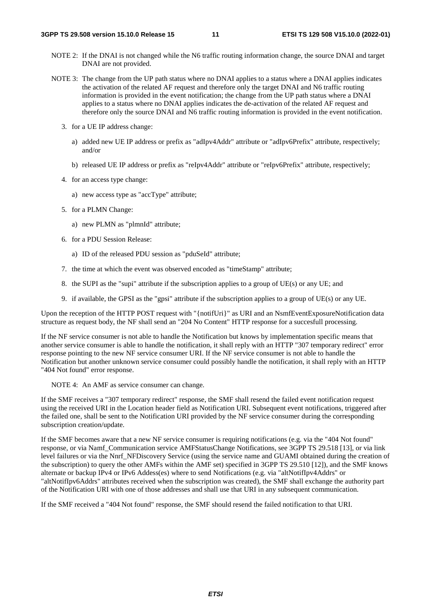- NOTE 2: If the DNAI is not changed while the N6 traffic routing information change, the source DNAI and target DNAI are not provided.
- NOTE 3: The change from the UP path status where no DNAI applies to a status where a DNAI applies indicates the activation of the related AF request and therefore only the target DNAI and N6 traffic routing information is provided in the event notification; the change from the UP path status where a DNAI applies to a status where no DNAI applies indicates the de-activation of the related AF request and therefore only the source DNAI and N6 traffic routing information is provided in the event notification.
	- 3. for a UE IP address change:
		- a) added new UE IP address or prefix as "adIpv4Addr" attribute or "adIpv6Prefix" attribute, respectively; and/or
		- b) released UE IP address or prefix as "reIpv4Addr" attribute or "reIpv6Prefix" attribute, respectively;
	- 4. for an access type change:
		- a) new access type as "accType" attribute;
	- 5. for a PLMN Change:
		- a) new PLMN as "plmnId" attribute;
	- 6. for a PDU Session Release:
		- a) ID of the released PDU session as "pduSeId" attribute;
	- 7. the time at which the event was observed encoded as "timeStamp" attribute;
	- 8. the SUPI as the "supi" attribute if the subscription applies to a group of UE(s) or any UE; and
	- 9. if available, the GPSI as the "gpsi" attribute if the subscription applies to a group of UE(s) or any UE.

Upon the reception of the HTTP POST request with "{notifUri}" as URI and an NsmfEventExposureNotification data structure as request body, the NF shall send an "204 No Content" HTTP response for a succesfull processing.

If the NF service consumer is not able to handle the Notification but knows by implementation specific means that another service consumer is able to handle the notification, it shall reply with an HTTP "307 temporary redirect" error response pointing to the new NF service consumer URI. If the NF service consumer is not able to handle the Notification but another unknown service consumer could possibly handle the notification, it shall reply with an HTTP "404 Not found" error response.

NOTE 4: An AMF as service consumer can change.

If the SMF receives a "307 temporary redirect" response, the SMF shall resend the failed event notification request using the received URI in the Location header field as Notification URI. Subsequent event notifications, triggered after the failed one, shall be sent to the Notification URI provided by the NF service consumer during the corresponding subscription creation/update.

If the SMF becomes aware that a new NF service consumer is requiring notifications (e.g. via the "404 Not found" response, or via Namf\_Communication service AMFStatusChange Notifications, see 3GPP TS 29.518 [13], or via link level failures or via the Nnrf\_NFDiscovery Service (using the service name and GUAMI obtained during the creation of the subscription) to query the other AMFs within the AMF set) specified in 3GPP TS 29.510 [12]), and the SMF knows alternate or backup IPv4 or IPv6 Addess(es) where to send Notifications (e.g. via "altNotifIpv4Addrs" or "altNotifIpv6Addrs" attributes received when the subscription was created), the SMF shall exchange the authority part of the Notification URI with one of those addresses and shall use that URI in any subsequent communication.

If the SMF received a "404 Not found" response, the SMF should resend the failed notification to that URI.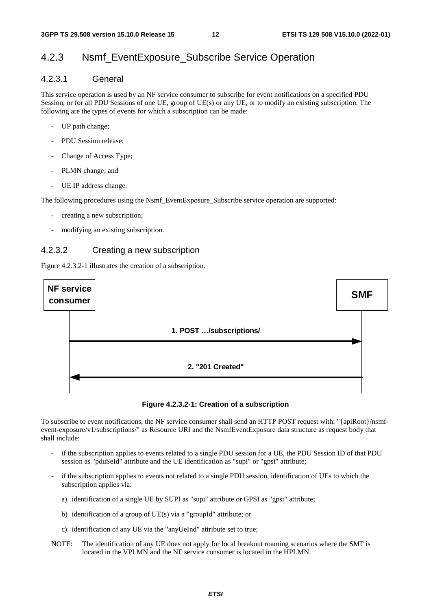# 4.2.3 Nsmf\_EventExposure\_Subscribe Service Operation

### 4.2.3.1 General

This service operation is used by an NF service consumer to subscribe for event notifications on a specified PDU Session, or for all PDU Sessions of one UE, group of UE(s) or any UE, or to modify an existing subscription. The following are the types of events for which a subscription can be made:

- UP path change;
- PDU Session release;
- Change of Access Type;
- PLMN change; and
- UE IP address change.

The following procedures using the Nsmf\_EventExposure\_Subscribe service operation are supported:

- creating a new subscription;
- modifying an existing subscription.

### 4.2.3.2 Creating a new subscription

Figure 4.2.3.2-1 illustrates the creation of a subscription.



**Figure 4.2.3.2-1: Creation of a subscription** 

To subscribe to event notifications, the NF service consumer shall send an HTTP POST request with: "{apiRoot}/nsmfevent-exposure/v1/subscriptions/" as Resource URI and the NsmfEventExposure data structure as request body that shall include:

- if the subscription applies to events related to a single PDU session for a UE, the PDU Session ID of that PDU session as "pduSeId" attribute and the UE identification as "supi" or "gpsi" attribute;
- if the subscription applies to events not related to a single PDU session, identification of UEs to which the subscription applies via:
	- a) identification of a single UE by SUPI as "supi" attribute or GPSI as "gpsi" attribute;
	- b) identification of a group of UE(s) via a "groupId" attribute; or
	- c) identification of any UE via the "anyUeInd" attribute set to true;
- NOTE: The identification of any UE does not apply for local breakout roaming scenarios where the SMF is located in the VPLMN and the NF service consumer is located in the HPLMN.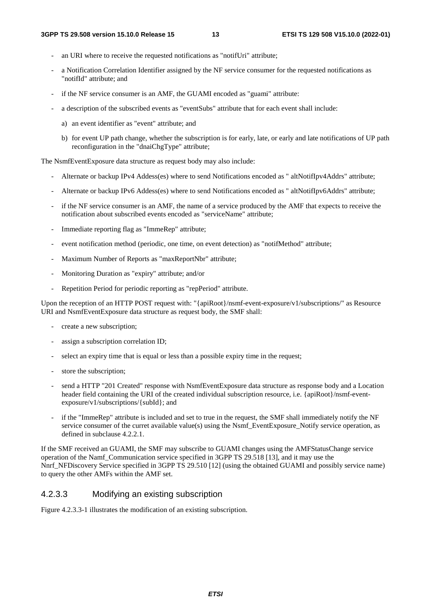- an URI where to receive the requested notifications as "notifUri" attribute;
- a Notification Correlation Identifier assigned by the NF service consumer for the requested notifications as "notifId" attribute; and
- if the NF service consumer is an AMF, the GUAMI encoded as "guami" attribute:
- a description of the subscribed events as "eventSubs" attribute that for each event shall include:
	- a) an event identifier as "event" attribute; and
	- b) for event UP path change, whether the subscription is for early, late, or early and late notifications of UP path reconfiguration in the "dnaiChgType" attribute;

The NsmfEventExposure data structure as request body may also include:

- Alternate or backup IPv4 Addess(es) where to send Notifications encoded as " altNotifIpv4Addrs" attribute;
- Alternate or backup IPv6 Addess(es) where to send Notifications encoded as " altNotifIpv6Addrs" attribute;
- if the NF service consumer is an AMF, the name of a service produced by the AMF that expects to receive the notification about subscribed events encoded as "serviceName" attribute;
- Immediate reporting flag as "ImmeRep" attribute;
- event notification method (periodic, one time, on event detection) as "notifMethod" attribute;
- Maximum Number of Reports as "maxReportNbr" attribute;
- Monitoring Duration as "expiry" attribute; and/or
- Repetition Period for periodic reporting as "repPeriod" attribute.

Upon the reception of an HTTP POST request with: "{apiRoot}/nsmf-event-exposure/v1/subscriptions/" as Resource URI and NsmfEventExposure data structure as request body, the SMF shall:

- create a new subscription;
- assign a subscription correlation ID;
- select an expiry time that is equal or less than a possible expiry time in the request;
- store the subscription;
- send a HTTP "201 Created" response with NsmfEventExposure data structure as response body and a Location header field containing the URI of the created individual subscription resource, i.e. {apiRoot}/nsmf-eventexposure/v1/subscriptions/{subId}; and
- if the "ImmeRep" attribute is included and set to true in the request, the SMF shall immediately notify the NF service consumer of the curret available value(s) using the Nsmf\_EventExposure\_Notify service operation, as defined in subclause 4.2.2.1.

If the SMF received an GUAMI, the SMF may subscribe to GUAMI changes using the AMFStatusChange service operation of the Namf\_Communication service specified in 3GPP TS 29.518 [13], and it may use the Nnrf\_NFDiscovery Service specified in 3GPP TS 29.510 [12] (using the obtained GUAMI and possibly service name) to query the other AMFs within the AMF set.

#### 4.2.3.3 Modifying an existing subscription

Figure 4.2.3.3-1 illustrates the modification of an existing subscription.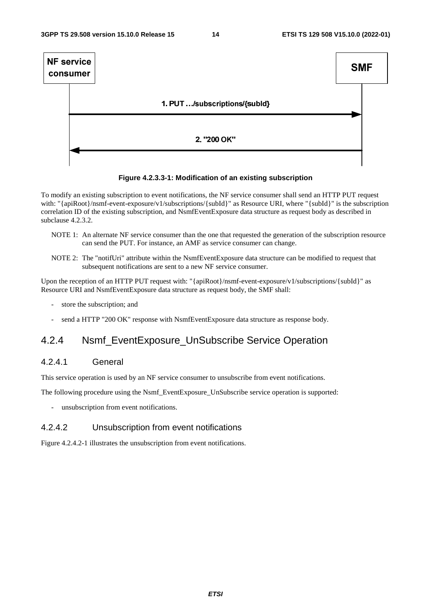

#### **Figure 4.2.3.3-1: Modification of an existing subscription**

To modify an existing subscription to event notifications, the NF service consumer shall send an HTTP PUT request with: "{apiRoot}/nsmf-event-exposure/v1/subscriptions/{subId}" as Resource URI, where "{subId}" is the subscription correlation ID of the existing subscription, and NsmfEventExposure data structure as request body as described in subclause 4.2.3.2.

- NOTE 1: An alternate NF service consumer than the one that requested the generation of the subscription resource can send the PUT. For instance, an AMF as service consumer can change.
- NOTE 2: The "notifUri" attribute within the NsmfEventExposure data structure can be modified to request that subsequent notifications are sent to a new NF service consumer.

Upon the reception of an HTTP PUT request with: "{apiRoot}/nsmf-event-exposure/v1/subscriptions/{subId}" as Resource URI and NsmfEventExposure data structure as request body, the SMF shall:

- store the subscription; and
- send a HTTP "200 OK" response with NsmfEventExposure data structure as response body.

# 4.2.4 Nsmf\_EventExposure\_UnSubscribe Service Operation

### 4.2.4.1 General

This service operation is used by an NF service consumer to unsubscribe from event notifications.

The following procedure using the Nsmf\_EventExposure\_UnSubscribe service operation is supported:

unsubscription from event notifications.

### 4.2.4.2 Unsubscription from event notifications

Figure 4.2.4.2-1 illustrates the unsubscription from event notifications.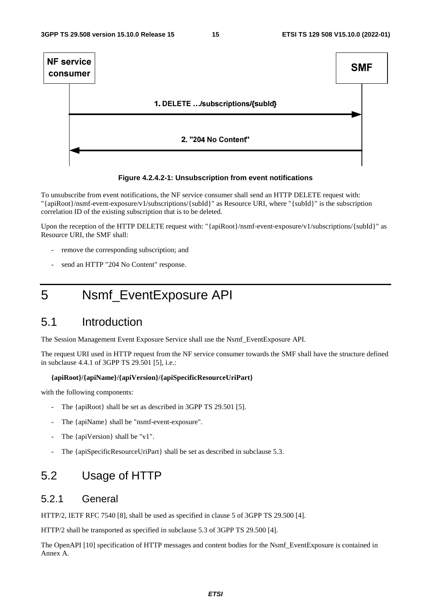

#### **Figure 4.2.4.2-1: Unsubscription from event notifications**

To unsubscribe from event notifications, the NF service consumer shall send an HTTP DELETE request with: "{apiRoot}/nsmf-event-exposure/v1/subscriptions/{subId}" as Resource URI, where "{subId}" is the subscription correlation ID of the existing subscription that is to be deleted.

Upon the reception of the HTTP DELETE request with: "{apiRoot}/nsmf-event-exposure/v1/subscriptions/{subId}" as Resource URI, the SMF shall:

- remove the corresponding subscription; and
- send an HTTP "204 No Content" response.

# 5 Nsmf\_EventExposure API

# 5.1 Introduction

The Session Management Event Exposure Service shall use the Nsmf\_EventExposure API.

The request URI used in HTTP request from the NF service consumer towards the SMF shall have the structure defined in subclause 4.4.1 of 3GPP TS 29.501 [5], i.e.:

#### **{apiRoot}/{apiName}/{apiVersion}/{apiSpecificResourceUriPart}**

with the following components:

- The {apiRoot} shall be set as described in 3GPP TS 29.501 [5].
- The {apiName} shall be "nsmf-event-exposure".
- The {apiVersion} shall be "v1".
- The {apiSpecificResourceUriPart} shall be set as described in subclause 5.3.

# 5.2 Usage of HTTP

### 5.2.1 General

HTTP/2, IETF RFC 7540 [8], shall be used as specified in clause 5 of 3GPP TS 29.500 [4].

HTTP/2 shall be transported as specified in subclause 5.3 of 3GPP TS 29.500 [4].

The OpenAPI [10] specification of HTTP messages and content bodies for the Nsmf\_EventExposure is contained in Annex A.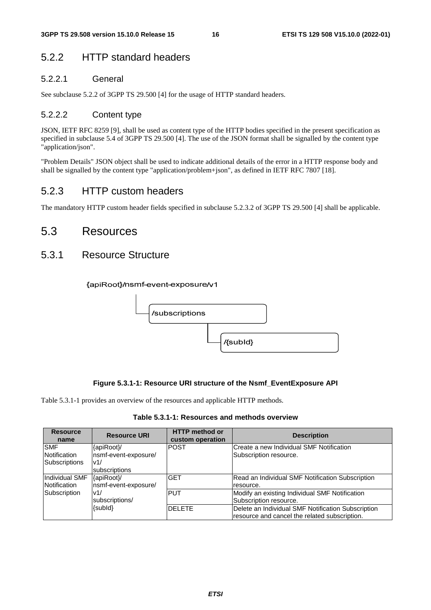# 5.2.2 HTTP standard headers

### 5.2.2.1 General

See subclause 5.2.2 of 3GPP TS 29.500 [4] for the usage of HTTP standard headers.

### 5.2.2.2 Content type

JSON, IETF RFC 8259 [9], shall be used as content type of the HTTP bodies specified in the present specification as specified in subclause 5.4 of 3GPP TS 29.500 [4]. The use of the JSON format shall be signalled by the content type "application/json".

"Problem Details" JSON object shall be used to indicate additional details of the error in a HTTP response body and shall be signalled by the content type "application/problem+json", as defined in IETF RFC 7807 [18].

# 5.2.3 HTTP custom headers

The mandatory HTTP custom header fields specified in subclause 5.2.3.2 of 3GPP TS 29.500 [4] shall be applicable.

# 5.3 Resources

# 5.3.1 Resource Structure





#### **Figure 5.3.1-1: Resource URI structure of the Nsmf\_EventExposure API**

Table 5.3.1-1 provides an overview of the resources and applicable HTTP methods.

| Table 5.3.1-1: Resources and methods overview |  |
|-----------------------------------------------|--|
|-----------------------------------------------|--|

| <b>Resource</b><br>name | <b>Resource URI</b>  | <b>HTTP method or</b><br>custom operation | <b>Description</b>                                 |
|-------------------------|----------------------|-------------------------------------------|----------------------------------------------------|
| <b>SMF</b>              | {apiRoot}/           | <b>POST</b>                               | Create a new Individual SMF Notification           |
| Notification            | nsmf-event-exposure/ |                                           | Subscription resource.                             |
| <b>Subscriptions</b>    | v1/                  |                                           |                                                    |
|                         | subscriptions        |                                           |                                                    |
| Individual SMF          | {apiRoot}/           | <b>GET</b>                                | Read an Individual SMF Notification Subscription   |
| Notification            | nsmf-event-exposure/ |                                           | resource.                                          |
| Subscription            | v1/                  | <b>PUT</b>                                | Modify an existing Individual SMF Notification     |
|                         | subscriptions/       |                                           | Subscription resource.                             |
|                         | {subld}              | <b>DELETE</b>                             | Delete an Individual SMF Notification Subscription |
|                         |                      |                                           | resource and cancel the related subscription.      |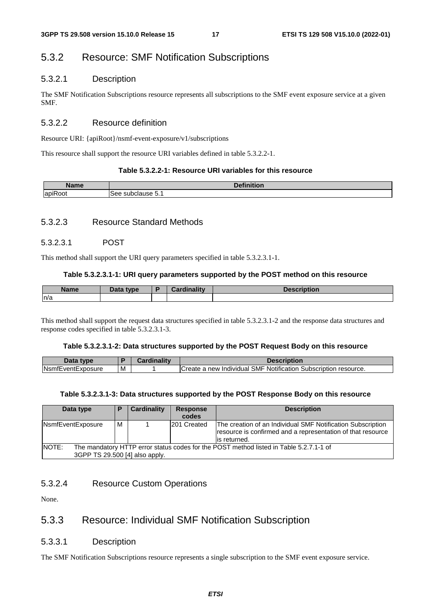# 5.3.2 Resource: SMF Notification Subscriptions

### 5.3.2.1 Description

The SMF Notification Subscriptions resource represents all subscriptions to the SMF event exposure service at a given SMF.

### 5.3.2.2 Resource definition

Resource URI: {apiRoot}/nsmf-event-exposure/v1/subscriptions

This resource shall support the resource URI variables defined in table 5.3.2.2-1.

#### **Table 5.3.2.2-1: Resource URI variables for this resource**

| -Namci                   | and a film faithful |
|--------------------------|---------------------|
| $\overline{\phantom{0}}$ | lSee                |
| ,                        | subc                |
| n                        | use                 |
| .oo!                     | 32 J                |
| אסו                      | . ن.                |

### 5.3.2.3 Resource Standard Methods

### 5.3.2.3.1 POST

This method shall support the URI query parameters specified in table 5.3.2.3.1-1.

#### **Table 5.3.2.3.1-1: URI query parameters supported by the POST method on this resource**

| <b>Name</b> | Data type | <b>Cardinality</b> | scription |
|-------------|-----------|--------------------|-----------|
| n/a         |           |                    |           |

This method shall support the request data structures specified in table 5.3.2.3.1-2 and the response data structures and response codes specified in table 5.3.2.3.1-3.

#### **Table 5.3.2.3.1-2: Data structures supported by the POST Request Body on this resource**

| tvne                             |   | <br>$\overline{\phantom{a}}$ | ниопон                                                                                |
|----------------------------------|---|------------------------------|---------------------------------------------------------------------------------------|
| . .<br>-ventExposure<br>NSI<br>ш | M |                              | Notification<br>SMF<br><br>create 1<br>resource.<br>Individual<br>Subscription<br>new |

#### **Table 5.3.2.3.1-3: Data structures supported by the POST Response Body on this resource**

| Data type                                                                                       | Е | <b>Cardinality</b> | <b>Response</b> | <b>Description</b>                                                                                                                          |
|-------------------------------------------------------------------------------------------------|---|--------------------|-----------------|---------------------------------------------------------------------------------------------------------------------------------------------|
|                                                                                                 |   |                    | codes           |                                                                                                                                             |
| NsmfEventExposure                                                                               |   |                    | 201 Created     | The creation of an Individual SMF Notification Subscription<br>resource is confirmed and a representation of that resource<br>lis returned. |
| NOTE:<br>The mandatory HTTP error status codes for the POST method listed in Table 5.2.7.1-1 of |   |                    |                 |                                                                                                                                             |
| 3GPP TS 29.500 [4] also apply.                                                                  |   |                    |                 |                                                                                                                                             |

### 5.3.2.4 Resource Custom Operations

None.

# 5.3.3 Resource: Individual SMF Notification Subscription

### 5.3.3.1 Description

The SMF Notification Subscriptions resource represents a single subscription to the SMF event exposure service.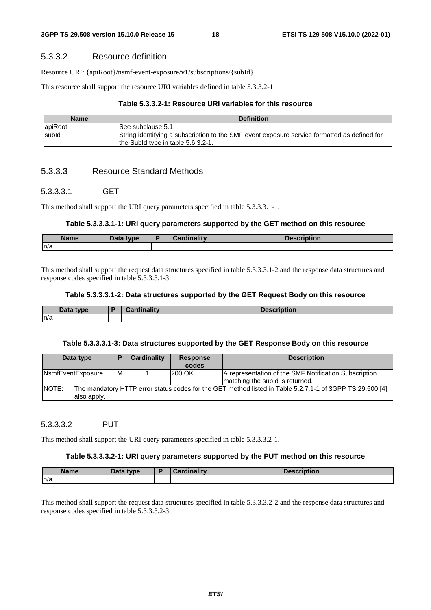#### 5.3.3.2 Resource definition

Resource URI: {apiRoot}/nsmf-event-exposure/v1/subscriptions/{subId}

This resource shall support the resource URI variables defined in table 5.3.3.2-1.

#### **Table 5.3.3.2-1: Resource URI variables for this resource**

| <b>Name</b> | <b>Definition</b>                                                                                                                  |
|-------------|------------------------------------------------------------------------------------------------------------------------------------|
| apiRoot     | ISee subclause 5.1                                                                                                                 |
| subld       | String identifying a subscription to the SMF event exposure service formatted as defined for<br>the Subld type in table 5.6.3.2-1. |

### 5.3.3.3 Resource Standard Methods

#### 5.3.3.3.1 GET

This method shall support the URI query parameters specified in table 5.3.3.3.1-1.

#### **Table 5.3.3.3.1-1: URI query parameters supported by the GET method on this resource**

| <b>Name</b> | Data type<br>$-$ utu | <br>. | Description |
|-------------|----------------------|-------|-------------|
| n/a         |                      |       |             |

This method shall support the request data structures specified in table 5.3.3.3.1-2 and the response data structures and response codes specified in table 5.3.3.3.1-3.

#### **Table 5.3.3.3.1-2: Data structures supported by the GET Request Body on this resource**

| Data type | <b>Cardinality</b> | <b>Description</b> |
|-----------|--------------------|--------------------|
| n/a       |                    |                    |

#### **Table 5.3.3.3.1-3: Data structures supported by the GET Response Body on this resource**

| Data type                                                                                                                        | E | Cardinality | <b>Response</b><br>codes | <b>Description</b>                                                                       |  |  |
|----------------------------------------------------------------------------------------------------------------------------------|---|-------------|--------------------------|------------------------------------------------------------------------------------------|--|--|
| NsmfEventExposure                                                                                                                | м |             | 200 OK                   | A representation of the SMF Notification Subscription<br>matching the subid is returned. |  |  |
| NOTE:<br>The mandatory HTTP error status codes for the GET method listed in Table 5.2.7.1-1 of 3GPP TS 29.500 [4]<br>also apply. |   |             |                          |                                                                                          |  |  |

#### 5.3.3.3.2 PUT

This method shall support the URI query parameters specified in table 5.3.3.3.2-1.

#### **Table 5.3.3.3.2-1: URI query parameters supported by the PUT method on this resource**

| <b>Name</b> | Data type | $\mathbf{r}$<br><b>THE REAL</b> | and a contract of the state of the<br>Description |
|-------------|-----------|---------------------------------|---------------------------------------------------|
| n/a         |           |                                 |                                                   |

This method shall support the request data structures specified in table 5.3.3.3.2-2 and the response data structures and response codes specified in table 5.3.3.3.2-3.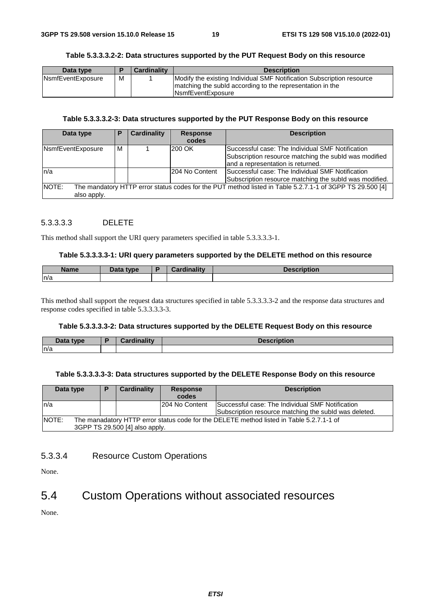#### **Table 5.3.3.3.2-2: Data structures supported by the PUT Request Body on this resource**

| Data type                 |   | <b>Cardinality</b> | <b>Description</b>                                                                                                                                               |
|---------------------------|---|--------------------|------------------------------------------------------------------------------------------------------------------------------------------------------------------|
| <b>N</b> smfEventExposure | М |                    | Modify the existing Individual SMF Notification Subscription resource<br>Imatching the subid according to the representation in the<br><b>INsmfEventExposure</b> |

#### **Table 5.3.3.3.2-3: Data structures supported by the PUT Response Body on this resource**

| Data type         | P | <b>Cardinality</b> | <b>Response</b> | <b>Description</b>                                                                                       |
|-------------------|---|--------------------|-----------------|----------------------------------------------------------------------------------------------------------|
|                   |   |                    | codes           |                                                                                                          |
| NsmfEventExposure | м |                    | 200 OK          | Successful case: The Individual SMF Notification                                                         |
|                   |   |                    |                 | Subscription resource matching the subld was modified                                                    |
|                   |   |                    |                 | and a representation is returned.                                                                        |
| ln/a              |   |                    | 204 No Content  | Successful case: The Individual SMF Notification                                                         |
|                   |   |                    |                 | Subscription resource matching the subld was modified.                                                   |
| INOTE:            |   |                    |                 | The mandatory HTTP error status codes for the PUT method listed in Table 5.2.7.1-1 of 3GPP TS 29.500 [4] |
| also apply.       |   |                    |                 |                                                                                                          |

### 5.3.3.3.3 DELETE

This method shall support the URI query parameters specified in table 5.3.3.3.3-1.

#### **Table 5.3.3.3.3-1: URI query parameters supported by the DELETE method on this resource**

| Name | Data type | Cardinalitv | <b>Description</b> |
|------|-----------|-------------|--------------------|
| n/a  |           |             |                    |

This method shall support the request data structures specified in table 5.3.3.3.3-2 and the response data structures and response codes specified in table 5.3.3.3.3-3.

#### **Table 5.3.3.3.3-2: Data structures supported by the DELETE Request Body on this resource**

| Data type | <b>Cardinality</b> | <b>Description</b> |
|-----------|--------------------|--------------------|
| ln/a      |                    |                    |

#### **Table 5.3.3.3.3-3: Data structures supported by the DELETE Response Body on this resource**

| Data type                                                                                                | D                              | Cardinality | <b>Response</b><br>codes | <b>Description</b>                                    |  |  |  |
|----------------------------------------------------------------------------------------------------------|--------------------------------|-------------|--------------------------|-------------------------------------------------------|--|--|--|
| ln/a                                                                                                     |                                |             | 204 No Content           | Successful case: The Individual SMF Notification      |  |  |  |
|                                                                                                          |                                |             |                          | Subscription resource matching the subld was deleted. |  |  |  |
| <b>NOTE:</b><br>The manadatory HTTP error status code for the DELETE method listed in Table 5.2.7.1-1 of |                                |             |                          |                                                       |  |  |  |
|                                                                                                          | 3GPP TS 29.500 [4] also apply. |             |                          |                                                       |  |  |  |

#### 5.3.3.4 Resource Custom Operations

None.

# 5.4 Custom Operations without associated resources

None.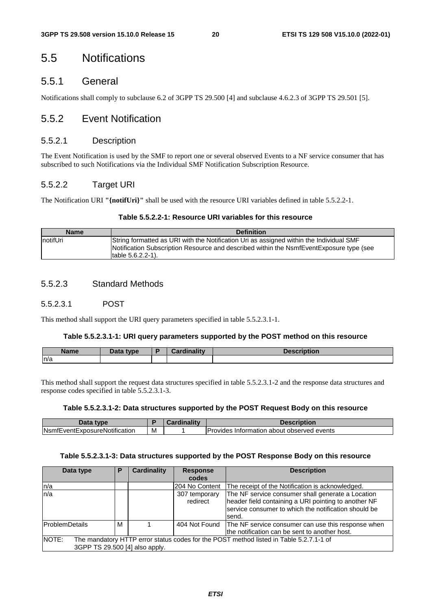# 5.5 Notifications

### 5.5.1 General

Notifications shall comply to subclause 6.2 of 3GPP TS 29.500 [4] and subclause 4.6.2.3 of 3GPP TS 29.501 [5].

### 5.5.2 Event Notification

#### 5.5.2.1 Description

The Event Notification is used by the SMF to report one or several observed Events to a NF service consumer that has subscribed to such Notifications via the Individual SMF Notification Subscription Resource.

### 5.5.2.2 Target URI

The Notification URI **"{notifUri}"** shall be used with the resource URI variables defined in table 5.5.2.2-1.

#### **Table 5.5.2.2-1: Resource URI variables for this resource**

| <b>Name</b>      | <b>Definition</b>                                                                                                                                                                                        |
|------------------|----------------------------------------------------------------------------------------------------------------------------------------------------------------------------------------------------------|
| <b>InotifUri</b> | String formatted as URI with the Notification Uri as assigned within the Individual SMF<br>Notification Subscription Resource and described within the NsmfEventExposure type (see<br>Itable 5.6.2.2-1). |

### 5.5.2.3 Standard Methods

#### 5.5.2.3.1 POST

This method shall support the URI query parameters specified in table 5.5.2.3.1-1.

#### **Table 5.5.2.3.1-1: URI query parameters supported by the POST method on this resource**

| <b>Name</b> | <b>Pata type</b><br>Dala | <b>Cardinality</b> | <b>Description</b> |
|-------------|--------------------------|--------------------|--------------------|
| n/a         |                          |                    |                    |

This method shall support the request data structures specified in table 5.5.2.3.1-2 and the response data structures and response codes specified in table 5.5.2.3.1-3.

#### **Table 5.5.2.3.1-2: Data structures supported by the POST Request Body on this resource**

| Data type                             |   | $\sim$ ardinality | <b>Description</b>                                 |
|---------------------------------------|---|-------------------|----------------------------------------------------|
| <b>N</b> smfEventExposureNotification | M |                   | <b>IProvides Information about observed events</b> |

#### **Table 5.5.2.3.1-3: Data structures supported by the POST Response Body on this resource**

| Data type                               | P | <b>Cardinality</b> | <b>Response</b>           | <b>Description</b>                                                                                                                                                         |
|-----------------------------------------|---|--------------------|---------------------------|----------------------------------------------------------------------------------------------------------------------------------------------------------------------------|
|                                         |   |                    | codes                     |                                                                                                                                                                            |
| n/a                                     |   |                    | 204 No Content            | The receipt of the Notification is acknowledged.                                                                                                                           |
| ln/a                                    |   |                    | 307 temporary<br>redirect | The NF service consumer shall generate a Location<br>header field containing a URI pointing to another NF<br>service consumer to which the notification should be<br>send. |
| <b>ProblemDetails</b>                   | м |                    |                           | 404 Not Found   The NF service consumer can use this response when<br>the notification can be sent to another host.                                                        |
| NOTE:<br>3GPP TS 29.500 [4] also apply. |   |                    |                           | The mandatory HTTP error status codes for the POST method listed in Table 5.2.7.1-1 of                                                                                     |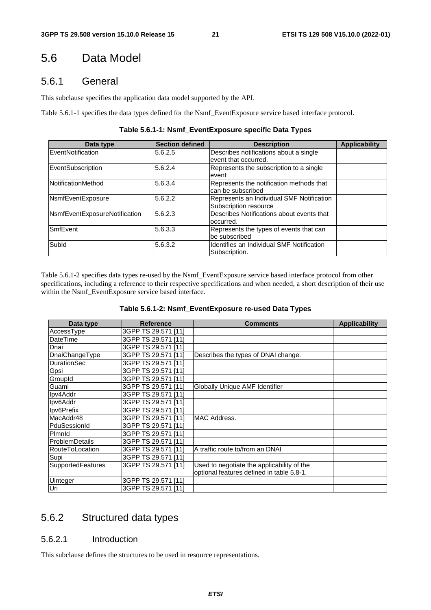# 5.6 Data Model

### 5.6.1 General

This subclause specifies the application data model supported by the API.

Table 5.6.1-1 specifies the data types defined for the Nsmf\_EventExposure service based interface protocol.

| Table 5.6.1-1: Nsmf_EventExposure specific Data Types |  |  |  |
|-------------------------------------------------------|--|--|--|
|-------------------------------------------------------|--|--|--|

| Data type                     | <b>Section defined</b> | <b>Description</b>                                                 | <b>Applicability</b> |
|-------------------------------|------------------------|--------------------------------------------------------------------|----------------------|
| EventNotification             | 5.6.2.5                | Describes notifications about a single<br>event that occurred.     |                      |
| EventSubscription             | 5.6.2.4                | Represents the subscription to a single<br>event                   |                      |
| NotificationMethod            | 5.6.3.4                | Represents the notification methods that<br>can be subscribed      |                      |
| NsmfEventExposure             | 5.6.2.2                | Represents an Individual SMF Notification<br>Subscription resource |                      |
| NsmfEventExposureNotification | 5.6.2.3                | Describes Notifications about events that<br>occurred.             |                      |
| <b>SmfEvent</b>               | 5.6.3.3                | Represents the types of events that can<br>be subscribed           |                      |
| Subld                         | 5.6.3.2                | Identifies an Individual SMF Notification<br>Subscription.         |                      |

Table 5.6.1-2 specifies data types re-used by the Nsmf\_EventExposure service based interface protocol from other specifications, including a reference to their respective specifications and when needed, a short description of their use within the Nsmf\_EventExposure service based interface.

|--|--|--|--|

| Data type              | <b>Reference</b>    | <b>Comments</b>                            | <b>Applicability</b> |
|------------------------|---------------------|--------------------------------------------|----------------------|
| AccessType             | 3GPP TS 29.571 [11] |                                            |                      |
| DateTime               | 3GPP TS 29.571 [11] |                                            |                      |
| Dnai                   | 3GPP TS 29.571 [11] |                                            |                      |
| DnaiChangeType         | 3GPP TS 29.571 [11] | Describes the types of DNAI change.        |                      |
| <b>DurationSec</b>     | 3GPP TS 29.571 [11] |                                            |                      |
| Gpsi                   | 3GPP TS 29.571 [11] |                                            |                      |
| GroupId                | 3GPP TS 29.571 [11] |                                            |                      |
| Guami                  | 3GPP TS 29.571 [11] | Globally Unique AMF Identifier             |                      |
| Ipv4Addr               | 3GPP TS 29.571 [11] |                                            |                      |
| Ipv6Addr               | 3GPP TS 29.571 [11] |                                            |                      |
| Ipv6Prefix             | 3GPP TS 29.571 [11] |                                            |                      |
| MacAddr48              | 3GPP TS 29.571 [11] | MAC Address.                               |                      |
| PduSessionId           | 3GPP TS 29.571 [11] |                                            |                      |
| Plmnld                 | 3GPP TS 29.571 [11] |                                            |                      |
| <b>ProblemDetails</b>  | 3GPP TS 29.571 [11] |                                            |                      |
| <b>RouteToLocation</b> | 3GPP TS 29.571 [11] | A traffic route to/from an DNAI            |                      |
| Supi                   | 3GPP TS 29.571 [11] |                                            |                      |
| SupportedFeatures      | 3GPP TS 29.571 [11] | Used to negotiate the applicability of the |                      |
|                        |                     | optional features defined in table 5.8-1.  |                      |
| Uinteger               | 3GPP TS 29.571 [11] |                                            |                      |
| Uri                    | 3GPP TS 29.571 [11] |                                            |                      |

# 5.6.2 Structured data types

### 5.6.2.1 Introduction

This subclause defines the structures to be used in resource representations.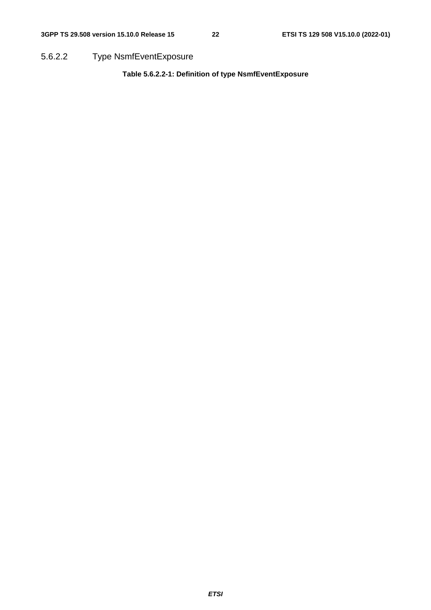5.6.2.2 Type NsmfEventExposure

**Table 5.6.2.2-1: Definition of type NsmfEventExposure**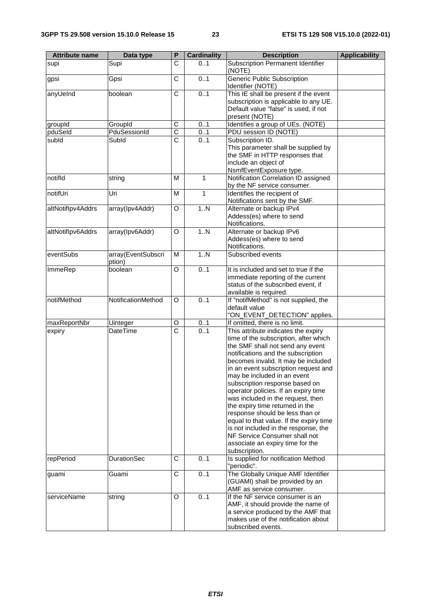| <b>Attribute name</b> | Data type                    | P                     | <b>Cardinality</b> | <b>Description</b>                                                                                                                                                                                                                                                                                                                                                                                                                                                                                                                                                                                                                 | <b>Applicability</b> |
|-----------------------|------------------------------|-----------------------|--------------------|------------------------------------------------------------------------------------------------------------------------------------------------------------------------------------------------------------------------------------------------------------------------------------------------------------------------------------------------------------------------------------------------------------------------------------------------------------------------------------------------------------------------------------------------------------------------------------------------------------------------------------|----------------------|
| supi                  | Supi                         | C                     | 01                 | Subscription Permanent Identifier<br>(NOTE)                                                                                                                                                                                                                                                                                                                                                                                                                                                                                                                                                                                        |                      |
| gpsi                  | Gpsi                         | $\overline{\text{c}}$ | 0.1                | <b>Generic Public Subscription</b><br>Identifier (NOTE)                                                                                                                                                                                                                                                                                                                                                                                                                                                                                                                                                                            |                      |
| anyUeInd              | boolean                      | C                     | 0.1                | This IE shall be present if the event<br>subscription is applicable to any UE.<br>Default value "false" is used, if not<br>present (NOTE)                                                                                                                                                                                                                                                                                                                                                                                                                                                                                          |                      |
| groupId               | GroupId                      | C                     | 0.1                | Identifies a group of UEs. (NOTE)                                                                                                                                                                                                                                                                                                                                                                                                                                                                                                                                                                                                  |                      |
| pduSeld               | PduSessionId                 | $\overline{\text{c}}$ | 0.1                | PDU session ID (NOTE)                                                                                                                                                                                                                                                                                                                                                                                                                                                                                                                                                                                                              |                      |
| subld                 | Subld                        | $\overline{\text{c}}$ | 0.1                | Subscription ID.<br>This parameter shall be supplied by<br>the SMF in HTTP responses that<br>include an object of<br>NsmfEventExposure type.                                                                                                                                                                                                                                                                                                                                                                                                                                                                                       |                      |
| notifld               | string                       | M                     | 1                  | Notification Correlation ID assigned<br>by the NF service consumer.                                                                                                                                                                                                                                                                                                                                                                                                                                                                                                                                                                |                      |
| notifUri              | Uri                          | M                     | 1                  | Identifies the recipient of<br>Notifications sent by the SMF.                                                                                                                                                                                                                                                                                                                                                                                                                                                                                                                                                                      |                      |
| altNotiflpv4Addrs     | array(Ipv4Addr)              | O                     | 1N                 | Alternate or backup IPv4<br>Addess(es) where to send<br>Notifications.                                                                                                                                                                                                                                                                                                                                                                                                                                                                                                                                                             |                      |
| altNotiflpv6Addrs     | array(Ipv6Addr)              | O                     | 1. N               | Alternate or backup IPv6<br>Addess(es) where to send<br>Notifications.                                                                                                                                                                                                                                                                                                                                                                                                                                                                                                                                                             |                      |
| eventSubs             | array(EventSubscri<br>ption) | M                     | 1N                 | Subscribed events                                                                                                                                                                                                                                                                                                                                                                                                                                                                                                                                                                                                                  |                      |
| ImmeRep               | boolean                      | O                     | 0.1                | It is included and set to true if the<br>immediate reporting of the current<br>status of the subscribed event, if<br>available is required.                                                                                                                                                                                                                                                                                                                                                                                                                                                                                        |                      |
| notifMethod           | NotificationMethod           | O                     | 0.1                | If "notifMethod" is not supplied, the<br>default value<br>"ON_EVENT_DETECTION" applies.                                                                                                                                                                                                                                                                                                                                                                                                                                                                                                                                            |                      |
| maxReportNbr          | Uinteger                     | O                     | 01                 | If omitted, there is no limit.                                                                                                                                                                                                                                                                                                                                                                                                                                                                                                                                                                                                     |                      |
| expiry                | DateTime                     | $\overline{\text{c}}$ | 0.1                | This attribute indicates the expiry<br>time of the subscription, after which<br>the SMF shall not send any event<br>notifications and the subscription<br>becomes invalid. It may be included<br>in an event subscription request and<br>may be included in an event<br>subscription response based on<br>operator policies. If an expiry time<br>was included in the request, then<br>the expiry time returned in the<br>response should be less than or<br>equal to that value. If the expiry time<br>is not included in the response, the<br>NF Service Consumer shall not<br>associate an expiry time for the<br>subscription. |                      |
| repPeriod             | <b>DurationSec</b>           | C                     | 0.1                | Is supplied for notification Method<br>"periodic".                                                                                                                                                                                                                                                                                                                                                                                                                                                                                                                                                                                 |                      |
| guami                 | Guami                        | C                     | 0.1                | The Globally Unique AMF Identifier<br>(GUAMI) shall be provided by an<br>AMF as service consumer.                                                                                                                                                                                                                                                                                                                                                                                                                                                                                                                                  |                      |
| serviceName           | string                       | O                     | 0.1                | If the NF service consumer is an<br>AMF, it should provide the name of<br>a service produced by the AMF that<br>makes use of the notification about<br>subscribed events.                                                                                                                                                                                                                                                                                                                                                                                                                                                          |                      |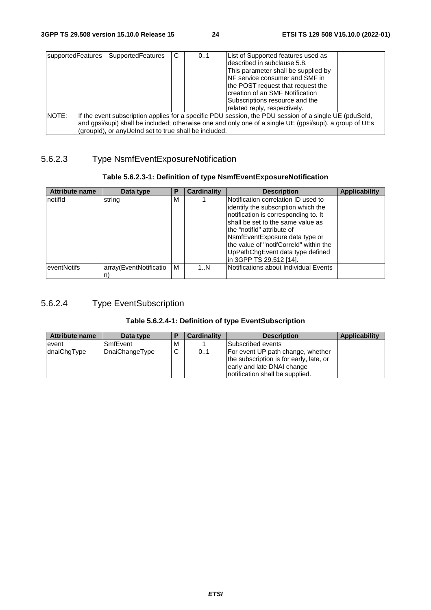| supportedFeatures                                                                                               | SupportedFeatures                                     | C | 0.1 | List of Supported features used as  |  |
|-----------------------------------------------------------------------------------------------------------------|-------------------------------------------------------|---|-----|-------------------------------------|--|
|                                                                                                                 |                                                       |   |     | Idescribed in subclause 5.8.        |  |
|                                                                                                                 |                                                       |   |     | This parameter shall be supplied by |  |
|                                                                                                                 |                                                       |   |     | NF service consumer and SMF in      |  |
|                                                                                                                 |                                                       |   |     | the POST request that request the   |  |
|                                                                                                                 |                                                       |   |     | creation of an SMF Notification     |  |
|                                                                                                                 |                                                       |   |     | Subscriptions resource and the      |  |
|                                                                                                                 |                                                       |   |     | related reply, respectively.        |  |
| NOTE:<br>If the event subscription applies for a specific PDU session, the PDU session of a single UE (pduSeld, |                                                       |   |     |                                     |  |
| and gpsi/supi) shall be included; otherwise one and only one of a single UE (gpsi/supi), a group of UEs         |                                                       |   |     |                                     |  |
|                                                                                                                 | (groupld), or anyUeInd set to true shall be included. |   |     |                                     |  |

### 5.6.2.3 Type NsmfEventExposureNotification

### **Table 5.6.2.3-1: Definition of type NsmfEventExposureNotification**

| <b>Attribute name</b> | Data type              | P | Cardinality | <b>Description</b>                                                         | <b>Applicability</b> |
|-----------------------|------------------------|---|-------------|----------------------------------------------------------------------------|----------------------|
| notifld               | string                 | M |             | Notification correlation ID used to<br>identify the subscription which the |                      |
|                       |                        |   |             | notification is corresponding to. It<br>shall be set to the same value as  |                      |
|                       |                        |   |             | lthe "notifId" attribute of                                                |                      |
|                       |                        |   |             | NsmfEventExposure data type or<br>the value of "notifCorreld" within the   |                      |
|                       |                        |   |             | UpPathChgEvent data type defined                                           |                      |
|                       |                        |   |             | in 3GPP TS 29.512 [14].                                                    |                      |
| eventNotifs           | array(EventNotificatio | M | 1N          | Notifications about Individual Events                                      |                      |
|                       |                        |   |             |                                                                            |                      |

# 5.6.2.4 Type EventSubscription

#### **Table 5.6.2.4-1: Definition of type EventSubscription**

| <b>Attribute name</b> | Data type        | Ð           | <b>Cardinality</b> | <b>Description</b>                                                                                                                             | Applicability |
|-----------------------|------------------|-------------|--------------------|------------------------------------------------------------------------------------------------------------------------------------------------|---------------|
| event                 | <b>ISmfEvent</b> | м           |                    | <b>Subscribed events</b>                                                                                                                       |               |
| dnaiChgType           | DnaiChangeType   | $\sim$<br>U | 0.1                | For event UP path change, whether<br>the subscription is for early, late, or<br>early and late DNAI change<br>Inotification shall be supplied. |               |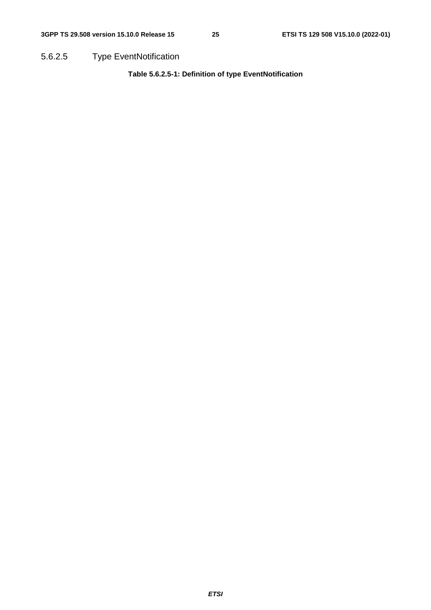5.6.2.5 Type EventNotification

**Table 5.6.2.5-1: Definition of type EventNotification**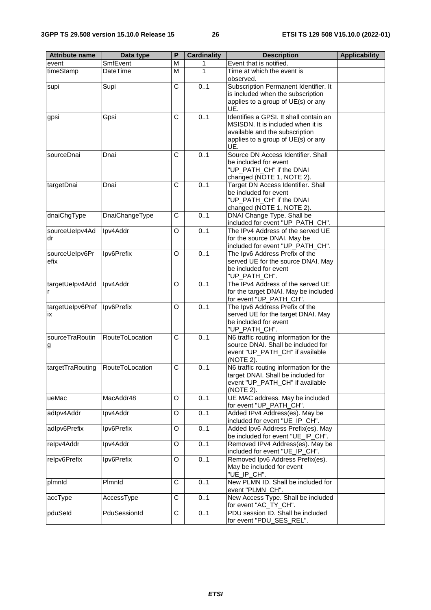| <b>Attribute name</b> | Data type       | P                     | <b>Cardinality</b> | <b>Description</b>                                                        | <b>Applicability</b> |
|-----------------------|-----------------|-----------------------|--------------------|---------------------------------------------------------------------------|----------------------|
| event                 | SmfEvent        | M                     | 1                  | Event that is notified.                                                   |                      |
| timeStamp             | DateTime        | M                     | 1                  | Time at which the event is<br>observed.                                   |                      |
| supi                  | Supi            | $\overline{\text{c}}$ | 0.1                | Subscription Permanent Identifier. It                                     |                      |
|                       |                 |                       |                    | is included when the subscription                                         |                      |
|                       |                 |                       |                    | applies to a group of UE(s) or any<br>UE.                                 |                      |
| gpsi                  | Gpsi            | $\overline{\text{c}}$ | 0.1                | Identifies a GPSI. It shall contain an                                    |                      |
|                       |                 |                       |                    | MSISDN. It is included when it is                                         |                      |
|                       |                 |                       |                    | available and the subscription                                            |                      |
|                       |                 |                       |                    | applies to a group of UE(s) or any<br>UE.                                 |                      |
| sourceDnai            | Dnai            | C                     | 0.1                | Source DN Access Identifier. Shall                                        |                      |
|                       |                 |                       |                    | be included for event<br>"UP_PATH_CH" if the DNAI                         |                      |
|                       |                 |                       |                    | changed (NOTE 1, NOTE 2).                                                 |                      |
| targetDnai            | Dnai            | C                     | 0.1                | Target DN Access Identifier. Shall                                        |                      |
|                       |                 |                       |                    | be included for event                                                     |                      |
|                       |                 |                       |                    | "UP_PATH_CH" if the DNAI                                                  |                      |
| dnaiChgType           | DnaiChangeType  | C                     | 0.1                | changed (NOTE 1, NOTE 2).<br>DNAI Change Type. Shall be                   |                      |
|                       |                 |                       |                    | included for event "UP_PATH_CH".                                          |                      |
| sourceUelpv4Ad        | Ipv4Addr        | O                     | 0.1                | The IPv4 Address of the served UE                                         |                      |
| dr                    |                 |                       |                    | for the source DNAI. May be                                               |                      |
| sourceUelpv6Pr        | Ipv6Prefix      | O                     | 0.1                | included for event "UP_PATH_CH".<br>The Ipv6 Address Prefix of the        |                      |
| efix                  |                 |                       |                    | served UE for the source DNAI. May                                        |                      |
|                       |                 |                       |                    | be included for event                                                     |                      |
|                       |                 |                       |                    | "UP_PATH_CH".                                                             |                      |
| targetUelpv4Add       | Ipv4Addr        | O                     | 0.1                | The IPv4 Address of the served UE<br>for the target DNAI. May be included |                      |
| r                     |                 |                       |                    | for event "UP_PATH_CH".                                                   |                      |
| targetUelpv6Pref      | Ipv6Prefix      | O                     | 0.1                | The Ipv6 Address Prefix of the                                            |                      |
| ix                    |                 |                       |                    | served UE for the target DNAI. May                                        |                      |
|                       |                 |                       |                    | be included for event<br>"UP_PATH_CH".                                    |                      |
| sourceTraRoutin       | RouteToLocation | C                     | 0.1                | N6 traffic routing information for the                                    |                      |
| g                     |                 |                       |                    | source DNAI. Shall be included for                                        |                      |
|                       |                 |                       |                    | event "UP_PATH_CH" if available                                           |                      |
| targetTraRouting      | RouteToLocation | C                     | 0.1                | (NOTE 2).<br>N6 traffic routing information for the                       |                      |
|                       |                 |                       |                    | target DNAI. Shall be included for                                        |                      |
|                       |                 |                       |                    | event "UP_PATH_CH" if available                                           |                      |
|                       |                 |                       |                    | (NOTE 2).                                                                 |                      |
| ueMac                 | MacAddr48       | O                     | 0.1                | UE MAC address. May be included<br>for event "UP_PATH_CH".                |                      |
| adlpv4Addr            | Ipv4Addr        | O                     | 0.1                | Added IPv4 Address(es). May be                                            |                      |
|                       |                 |                       |                    | included for event "UE_IP_CH".                                            |                      |
| adlpv6Prefix          | Ipv6Prefix      | O                     | 0.1                | Added Ipv6 Address Prefix(es). May<br>be included for event "UE_IP_CH".   |                      |
| relpv4Addr            | Ipv4Addr        | O                     | 0.1                | Removed IPv4 Address(es). May be                                          |                      |
| relpv6Prefix          | Ipv6Prefix      | O                     | 0.1                | included for event "UE_IP_CH".<br>Removed Ipv6 Address Prefix(es).        |                      |
|                       |                 |                       |                    | May be included for event                                                 |                      |
|                       |                 |                       |                    | "UE_IP_CH".                                                               |                      |
| plmnld                | Plmnld          | C                     | 0.1                | New PLMN ID. Shall be included for                                        |                      |
|                       | AccessType      | C                     | 0.1                | event "PLMN_CH".<br>New Access Type. Shall be included                    |                      |
| accType               |                 |                       |                    | for event "AC_TY_CH".                                                     |                      |
| pduSeld               | PduSessionId    | $\overline{C}$        | 0.1                | PDU session ID. Shall be included<br>for event "PDU_SES_REL".             |                      |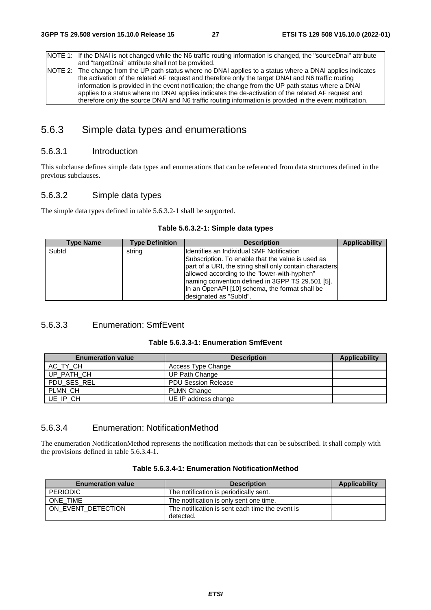NOTE 1: If the DNAI is not changed while the N6 traffic routing information is changed, the "sourceDnai" attribute and "targetDnai" attribute shall not be provided. NOTE 2: The change from the UP path status where no DNAI applies to a status where a DNAI applies indicates the activation of the related AF request and therefore only the target DNAI and N6 traffic routing

information is provided in the event notification; the change from the UP path status where a DNAI applies to a status where no DNAI applies indicates the de-activation of the related AF request and therefore only the source DNAI and N6 traffic routing information is provided in the event notification.

# 5.6.3 Simple data types and enumerations

### 5.6.3.1 Introduction

This subclause defines simple data types and enumerations that can be referenced from data structures defined in the previous subclauses.

### 5.6.3.2 Simple data types

The simple data types defined in table 5.6.3.2-1 shall be supported.

|  | Table 5.6.3.2-1: Simple data types |  |  |  |  |
|--|------------------------------------|--|--|--|--|
|--|------------------------------------|--|--|--|--|

| Type Name | <b>Type Definition</b> | <b>Description</b>                                                                                                                                                                                                                                            | <b>Applicability</b> |
|-----------|------------------------|---------------------------------------------------------------------------------------------------------------------------------------------------------------------------------------------------------------------------------------------------------------|----------------------|
| Subld     | string                 | Identifies an Individual SMF Notification<br>Subscription. To enable that the value is used as<br>part of a URI, the string shall only contain characters<br>allowed according to the "lower-with-hyphen"<br>naming convention defined in 3GPP TS 29.501 [5]. |                      |
|           |                        | In an OpenAPI [10] schema, the format shall be<br>designated as "SubId".                                                                                                                                                                                      |                      |

### 5.6.3.3 Enumeration: SmfEvent

|--|--|--|

| <b>Enumeration value</b> | <b>Description</b>         | Applicability |
|--------------------------|----------------------------|---------------|
| AC TY CH                 | Access Type Change         |               |
| UP PATH CH               | UP Path Change             |               |
| PDU SES REL              | <b>PDU Session Release</b> |               |
| PLMN CH                  | <b>PLMN Change</b>         |               |
| UE IP CH                 | UE IP address change       |               |

### 5.6.3.4 Enumeration: NotificationMethod

The enumeration NotificationMethod represents the notification methods that can be subscribed. It shall comply with the provisions defined in table 5.6.3.4-1.

| <b>Enumeration value</b> | <b>Description</b>                              | Applicability |
|--------------------------|-------------------------------------------------|---------------|
| <b>PERIODIC</b>          | The notification is periodically sent.          |               |
| ONE TIME                 | The notification is only sent one time.         |               |
| ON EVENT DETECTION       | The notification is sent each time the event is |               |
|                          | detected.                                       |               |

#### **Table 5.6.3.4-1: Enumeration NotificationMethod**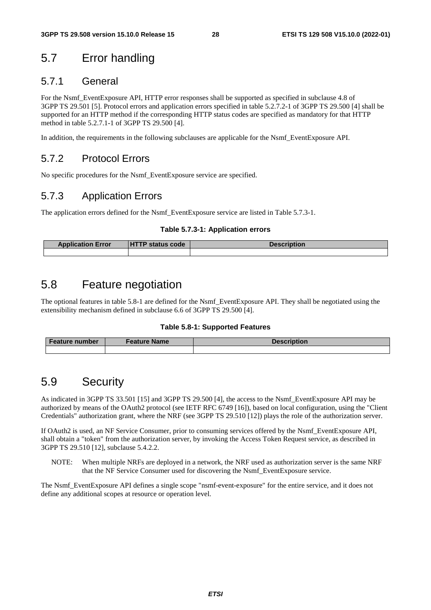# 5.7 Error handling

### 5.7.1 General

For the Nsmf\_EventExposure API, HTTP error responses shall be supported as specified in subclause 4.8 of 3GPP TS 29.501 [5]. Protocol errors and application errors specified in table 5.2.7.2-1 of 3GPP TS 29.500 [4] shall be supported for an HTTP method if the corresponding HTTP status codes are specified as mandatory for that HTTP method in table 5.2.7.1-1 of 3GPP TS 29.500 [4].

In addition, the requirements in the following subclauses are applicable for the Nsmf\_EventExposure API.

# 5.7.2 Protocol Errors

No specific procedures for the Nsmf\_EventExposure service are specified.

# 5.7.3 Application Errors

The application errors defined for the Nsmf\_EventExposure service are listed in Table 5.7.3-1.

#### **Table 5.7.3-1: Application errors**

| <b>Application Error</b> | <b>HTTP status code</b> | <b>Description</b> |  |  |  |
|--------------------------|-------------------------|--------------------|--|--|--|
|                          |                         |                    |  |  |  |

# 5.8 Feature negotiation

The optional features in table 5.8-1 are defined for the Nsmf\_EventExposure API. They shall be negotiated using the extensibility mechanism defined in subclause 6.6 of 3GPP TS 29.500 [4].

#### **Table 5.8-1: Supported Features**

| <b>Feature number</b> | <b>Feature Name</b> | <b>Description</b> |
|-----------------------|---------------------|--------------------|
|                       |                     |                    |

# 5.9 Security

As indicated in 3GPP TS 33.501 [15] and 3GPP TS 29.500 [4], the access to the Nsmf\_EventExposure API may be authorized by means of the OAuth2 protocol (see IETF RFC 6749 [16]), based on local configuration, using the "Client Credentials" authorization grant, where the NRF (see 3GPP TS 29.510 [12]) plays the role of the authorization server.

If OAuth2 is used, an NF Service Consumer, prior to consuming services offered by the Nsmf\_EventExposure API, shall obtain a "token" from the authorization server, by invoking the Access Token Request service, as described in 3GPP TS 29.510 [12], subclause 5.4.2.2.

NOTE: When multiple NRFs are deployed in a network, the NRF used as authorization server is the same NRF that the NF Service Consumer used for discovering the Nsmf\_EventExposure service.

The Nsmf\_EventExposure API defines a single scope "nsmf-event-exposure" for the entire service, and it does not define any additional scopes at resource or operation level.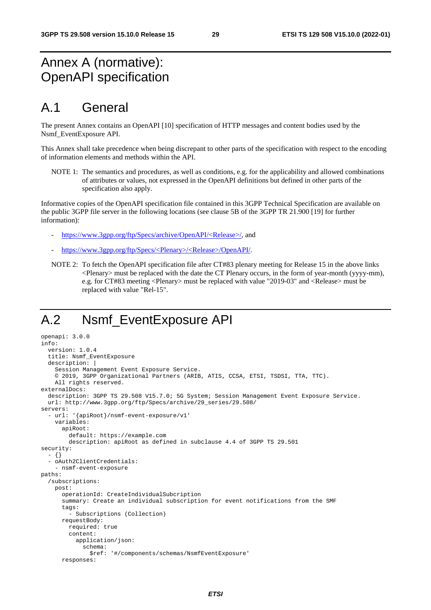# Annex A (normative): OpenAPI specification

# A.1 General

The present Annex contains an OpenAPI [10] specification of HTTP messages and content bodies used by the Nsmf\_EventExposure API.

This Annex shall take precedence when being discrepant to other parts of the specification with respect to the encoding of information elements and methods within the API.

NOTE 1: The semantics and procedures, as well as conditions, e.g. for the applicability and allowed combinations of attributes or values, not expressed in the OpenAPI definitions but defined in other parts of the specification also apply.

Informative copies of the OpenAPI specification file contained in this 3GPP Technical Specification are available on the public 3GPP file server in the following locations (see clause 5B of the 3GPP TR 21.900 [19] for further information):

- [https://www.3gpp.org/ftp/Specs/archive/OpenAPI/<Release>/](https://www.3gpp.org/ftp/Specs/archive/OpenAPI/%3cRelease%3e/), and
- [https://www.3gpp.org/ftp/Specs/<Plenary>/<Release>/OpenAPI/](https://www.3gpp.org/ftp/Specs/%3cPlenary%3e/%3cRelease%3e/OpenAPI/).
- NOTE 2: To fetch the OpenAPI specification file after CT#83 plenary meeting for Release 15 in the above links <Plenary> must be replaced with the date the CT Plenary occurs, in the form of year-month (yyyy-mm), e.g. for CT#83 meeting <Plenary> must be replaced with value "2019-03" and <Release> must be replaced with value "Rel-15".

# A.2 Nsmf\_EventExposure API

```
openapi: 3.0.0 
info: 
   version: 1.0.4 
   title: Nsmf_EventExposure 
   description: | 
     Session Management Event Exposure Service. 
     © 2019, 3GPP Organizational Partners (ARIB, ATIS, CCSA, ETSI, TSDSI, TTA, TTC). 
     All rights reserved. 
externalDocs: 
   description: 3GPP TS 29.508 V15.7.0; 5G System; Session Management Event Exposure Service. 
   url: http://www.3gpp.org/ftp/Specs/archive/29_series/29.508/ 
servers: 
   - url: '{apiRoot}/nsmf-event-exposure/v1' 
     variables: 
       apiRoot: 
         default: https://example.com 
         description: apiRoot as defined in subclause 4.4 of 3GPP TS 29.501 
security: 
   - {} 
   - oAuth2ClientCredentials: 
     - nsmf-event-exposure 
paths: 
   /subscriptions: 
     post: 
       operationId: CreateIndividualSubcription 
       summary: Create an individual subscription for event notifications from the SMF 
       tags: 
          - Subscriptions (Collection) 
       requestBody: 
         required: true 
         content: 
            application/json: 
              schema: 
                $ref: '#/components/schemas/NsmfEventExposure' 
       responses:
```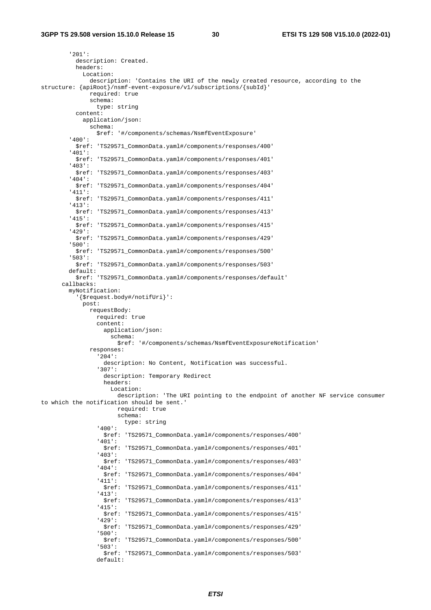'201': description: Created. headers: Location: description: 'Contains the URI of the newly created resource, according to the structure: {apiRoot}/nsmf-event-exposure/v1/subscriptions/{subId}' required: true schema: type: string content: application/json: schema: \$ref: '#/components/schemas/NsmfEventExposure' '400': \$ref: 'TS29571\_CommonData.yaml#/components/responses/400' '401': \$ref: 'TS29571\_CommonData.yaml#/components/responses/401' '403': \$ref: 'TS29571\_CommonData.yaml#/components/responses/403' '404': \$ref: 'TS29571\_CommonData.yaml#/components/responses/404' '411': \$ref: 'TS29571\_CommonData.yaml#/components/responses/411' '413': \$ref: 'TS29571\_CommonData.yaml#/components/responses/413' '415': \$ref: 'TS29571\_CommonData.yaml#/components/responses/415' '429': \$ref: 'TS29571\_CommonData.yaml#/components/responses/429' '500': \$ref: 'TS29571\_CommonData.yaml#/components/responses/500' '503': \$ref: 'TS29571\_CommonData.yaml#/components/responses/503' default: \$ref: 'TS29571\_CommonData.yaml#/components/responses/default' callbacks: myNotification: '{\$request.body#/notifUri}': post: requestBody: required: true content: application/ison: schema: \$ref: '#/components/schemas/NsmfEventExposureNotification' responses: '204': description: No Content, Notification was successful. '307': description: Temporary Redirect headers: Location: description: 'The URI pointing to the endpoint of another NF service consumer to which the notification should be sent.' required: true schema: type: string '400': \$ref: 'TS29571\_CommonData.yaml#/components/responses/400' '401': \$ref: 'TS29571\_CommonData.yaml#/components/responses/401' '403': \$ref: 'TS29571\_CommonData.yaml#/components/responses/403' '404': \$ref: 'TS29571\_CommonData.yaml#/components/responses/404' '411': \$ref: 'TS29571\_CommonData.yaml#/components/responses/411' '413': \$ref: 'TS29571\_CommonData.yaml#/components/responses/413' '415': \$ref: 'TS29571\_CommonData.yaml#/components/responses/415' '429': \$ref: 'TS29571\_CommonData.yaml#/components/responses/429' '500': \$ref: 'TS29571\_CommonData.yaml#/components/responses/500' '503': \$ref: 'TS29571\_CommonData.yaml#/components/responses/503' default: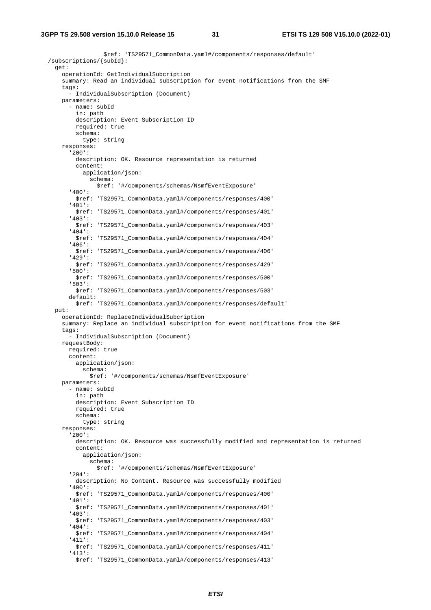\$ref: 'TS29571\_CommonData.yaml#/components/responses/default' /subscriptions/{subId}: get: operationId: GetIndividualSubcription summary: Read an individual subscription for event notifications from the SMF tags: - IndividualSubscription (Document) parameters: - name: subId in: path description: Event Subscription ID required: true schema: type: string responses: '200': description: OK. Resource representation is returned content: application/json: schema: \$ref: '#/components/schemas/NsmfEventExposure' '400': \$ref: 'TS29571\_CommonData.yaml#/components/responses/400' '401': \$ref: 'TS29571\_CommonData.yaml#/components/responses/401' '403': \$ref: 'TS29571\_CommonData.yaml#/components/responses/403' '404': \$ref: 'TS29571\_CommonData.yaml#/components/responses/404' '406': \$ref: 'TS29571\_CommonData.yaml#/components/responses/406' '429': \$ref: 'TS29571\_CommonData.yaml#/components/responses/429' '500': \$ref: 'TS29571\_CommonData.yaml#/components/responses/500' '503': \$ref: 'TS29571\_CommonData.yaml#/components/responses/503' default: \$ref: 'TS29571\_CommonData.yaml#/components/responses/default' put: operationId: ReplaceIndividualSubcription summary: Replace an individual subscription for event notifications from the SMF tags: - IndividualSubscription (Document) requestBody: required: true content: application/json: schema: \$ref: '#/components/schemas/NsmfEventExposure' parameters: - name: subId in: path description: Event Subscription ID required: true schema: type: string responses: '200': description: OK. Resource was successfully modified and representation is returned content: application/json: schema: \$ref: '#/components/schemas/NsmfEventExposure' '204': description: No Content. Resource was successfully modified '400': \$ref: 'TS29571\_CommonData.yaml#/components/responses/400' '401': \$ref: 'TS29571\_CommonData.yaml#/components/responses/401' '403': \$ref: 'TS29571\_CommonData.yaml#/components/responses/403' '404': \$ref: 'TS29571\_CommonData.yaml#/components/responses/404' '411': \$ref: 'TS29571\_CommonData.yaml#/components/responses/411' '413': \$ref: 'TS29571\_CommonData.yaml#/components/responses/413'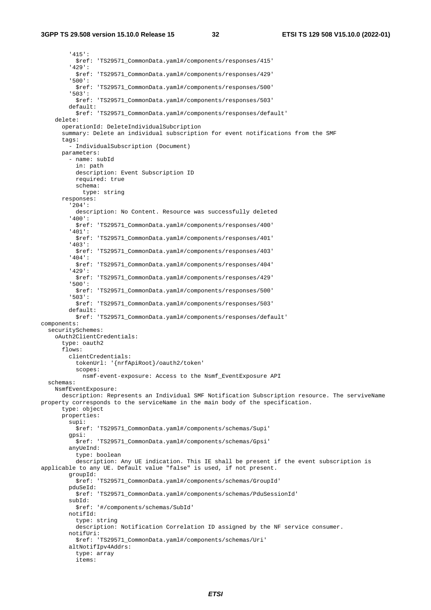'415': \$ref: 'TS29571\_CommonData.yaml#/components/responses/415' '429': \$ref: 'TS29571\_CommonData.yaml#/components/responses/429' '500': \$ref: 'TS29571\_CommonData.yaml#/components/responses/500' '503': \$ref: 'TS29571\_CommonData.yaml#/components/responses/503' default: \$ref: 'TS29571\_CommonData.yaml#/components/responses/default' delete: operationId: DeleteIndividualSubcription summary: Delete an individual subscription for event notifications from the SMF tags: - IndividualSubscription (Document) parameters: - name: subId in: path description: Event Subscription ID required: true schema: type: string responses: '204': description: No Content. Resource was successfully deleted '400': \$ref: 'TS29571\_CommonData.yaml#/components/responses/400' '401': \$ref: 'TS29571\_CommonData.yaml#/components/responses/401' '403': \$ref: 'TS29571\_CommonData.yaml#/components/responses/403' '404': \$ref: 'TS29571\_CommonData.yaml#/components/responses/404' '429': \$ref: 'TS29571\_CommonData.yaml#/components/responses/429' '500': \$ref: 'TS29571\_CommonData.yaml#/components/responses/500' '503': \$ref: 'TS29571\_CommonData.yaml#/components/responses/503' default: \$ref: 'TS29571\_CommonData.yaml#/components/responses/default' components: securitySchemes: oAuth2ClientCredentials: type: oauth2 flows: clientCredentials: tokenUrl: '{nrfApiRoot}/oauth2/token' scopes: nsmf-event-exposure: Access to the Nsmf\_EventExposure API schemas: NsmfEventExposure: description: Represents an Individual SMF Notification Subscription resource. The serviveName property corresponds to the serviceName in the main body of the specification. type: object properties: supi: \$ref: 'TS29571\_CommonData.yaml#/components/schemas/Supi' gpsi: \$ref: 'TS29571\_CommonData.yaml#/components/schemas/Gpsi' anyUeInd: type: boolean description: Any UE indication. This IE shall be present if the event subscription is applicable to any UE. Default value "false" is used, if not present. groupId: \$ref: 'TS29571\_CommonData.yaml#/components/schemas/GroupId' pduSeId: \$ref: 'TS29571\_CommonData.yaml#/components/schemas/PduSessionId' subId: \$ref: '#/components/schemas/SubId' notifId: type: string description: Notification Correlation ID assigned by the NF service consumer. notifUri: \$ref: 'TS29571\_CommonData.yaml#/components/schemas/Uri' altNotifIpv4Addrs: type: array items: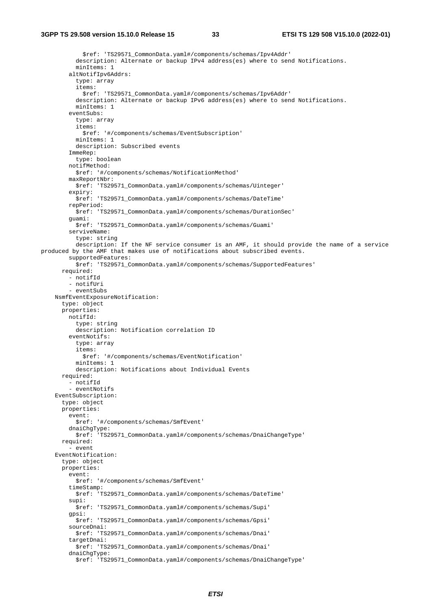```
 $ref: 'TS29571_CommonData.yaml#/components/schemas/Ipv4Addr' 
           description: Alternate or backup IPv4 address(es) where to send Notifications. 
           minItems: 1 
         altNotifIpv6Addrs: 
            type: array 
            items: 
              $ref: 'TS29571_CommonData.yaml#/components/schemas/Ipv6Addr' 
           description: Alternate or backup IPv6 address(es) where to send Notifications. 
           minItems: 1 
         eventSubs: 
           type: array 
            items: 
              $ref: '#/components/schemas/EventSubscription' 
           minItems: 1 
           description: Subscribed events 
         ImmeRep: 
           type: boolean 
         notifMethod: 
           $ref: '#/components/schemas/NotificationMethod' 
         maxReportNbr: 
           $ref: 'TS29571_CommonData.yaml#/components/schemas/Uinteger' 
          expiry: 
           $ref: 'TS29571_CommonData.yaml#/components/schemas/DateTime' 
         repPeriod: 
           $ref: 'TS29571_CommonData.yaml#/components/schemas/DurationSec' 
         guami: 
           $ref: 'TS29571_CommonData.yaml#/components/schemas/Guami' 
         serviveName: 
           type: string 
           description: If the NF service consumer is an AMF, it should provide the name of a service 
produced by the AMF that makes use of notifications about subscribed events. 
         supportedFeatures: 
           $ref: 'TS29571_CommonData.yaml#/components/schemas/SupportedFeatures' 
       required: 
          - notifId 
         - notifUri 
          - eventSubs 
     NsmfEventExposureNotification: 
       type: object 
       properties: 
         notifId: 
           type: string 
           description: Notification correlation ID 
         eventNotifs: 
           type: array 
            items: 
              $ref: '#/components/schemas/EventNotification' 
           minItems: 1 
           description: Notifications about Individual Events 
       required: 
         - notifId 
         - eventNotifs 
     EventSubscription: 
       type: object 
       properties: 
         event: 
           $ref: '#/components/schemas/SmfEvent' 
        dnaiChgType:<br>pref: 'TS2
                   $ref: 'TS29571_CommonData.yaml#/components/schemas/DnaiChangeType' 
       required: 
          - event 
     EventNotification: 
       type: object 
       properties: 
         event: 
           $ref: '#/components/schemas/SmfEvent' 
         timeStamp: 
           $ref: 'TS29571_CommonData.yaml#/components/schemas/DateTime' 
         supi: 
           $ref: 'TS29571_CommonData.yaml#/components/schemas/Supi' 
         gpsi: 
           $ref: 'TS29571_CommonData.yaml#/components/schemas/Gpsi' 
         sourceDnai: 
           $ref: 'TS29571_CommonData.yaml#/components/schemas/Dnai' 
         targetDnai: 
           $ref: 'TS29571_CommonData.yaml#/components/schemas/Dnai' 
        dnaiChgType:
           $ref: 'TS29571_CommonData.yaml#/components/schemas/DnaiChangeType'
```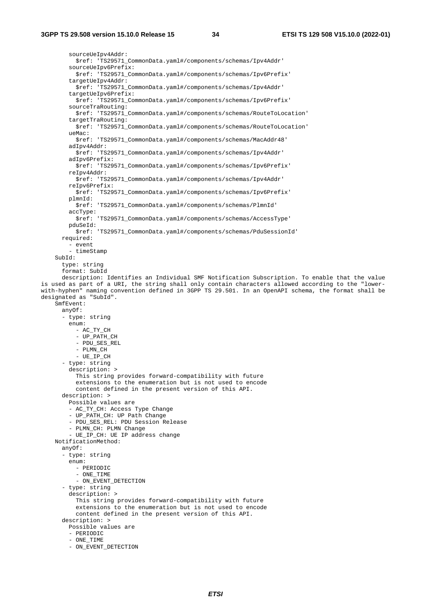sourceUeIpv4Addr: \$ref: 'TS29571\_CommonData.yaml#/components/schemas/Ipv4Addr' sourceUeIpv6Prefix: \$ref: 'TS29571\_CommonData.yaml#/components/schemas/Ipv6Prefix' targetUeIpv4Addr: \$ref: 'TS29571\_CommonData.yaml#/components/schemas/Ipv4Addr' targetUeIpv6Prefix: \$ref: 'TS29571\_CommonData.yaml#/components/schemas/Ipv6Prefix' sourceTraRouting: \$ref: 'TS29571\_CommonData.yaml#/components/schemas/RouteToLocation' targetTraRouting: \$ref: 'TS29571\_CommonData.yaml#/components/schemas/RouteToLocation' ueMac: \$ref: 'TS29571\_CommonData.yaml#/components/schemas/MacAddr48' adIpv4Addr: \$ref: 'TS29571\_CommonData.yaml#/components/schemas/Ipv4Addr' adIpv6Prefix: \$ref: 'TS29571\_CommonData.yaml#/components/schemas/Ipv6Prefix' reIpv4Addr: \$ref: 'TS29571\_CommonData.yaml#/components/schemas/Ipv4Addr' reIpv6Prefix: \$ref: 'TS29571\_CommonData.yaml#/components/schemas/Ipv6Prefix' plmnId: \$ref: 'TS29571\_CommonData.yaml#/components/schemas/PlmnId' accType: \$ref: 'TS29571\_CommonData.yaml#/components/schemas/AccessType' pduSeId: \$ref: 'TS29571\_CommonData.yaml#/components/schemas/PduSessionId' required: - event - timeStamp  $SubId:$  type: string format: SubId description: Identifies an Individual SMF Notification Subscription. To enable that the value is used as part of a URI, the string shall only contain characters allowed according to the "lowerwith-hyphen" naming convention defined in 3GPP TS 29.501. In an OpenAPI schema, the format shall be designated as "SubId". SmfEvent: anyOf: - type: string enum: - AC\_TY\_CH - UP\_PATH\_CH - PDU\_SES\_REL - PLMN\_CH - UE\_IP\_CH - type: string description: > This string provides forward-compatibility with future extensions to the enumeration but is not used to encode content defined in the present version of this API. description: > Possible values are - AC\_TY\_CH: Access Type Change - UP PATH CH: UP Path Change - PDU\_SES\_REL: PDU Session Release - PLMN\_CH: PLMN Change - UE\_IP\_CH: UE IP address change NotificationMethod: anyOf: - type: string enum: - PERIODIC  $-$  ONE TIME - ON\_EVENT\_DETECTION - type: string description: > This string provides forward-compatibility with future extensions to the enumeration but is not used to encode content defined in the present version of this API. description: > Possible values are - PERIODIC - ONE\_TIME - ON\_EVENT\_DETECTION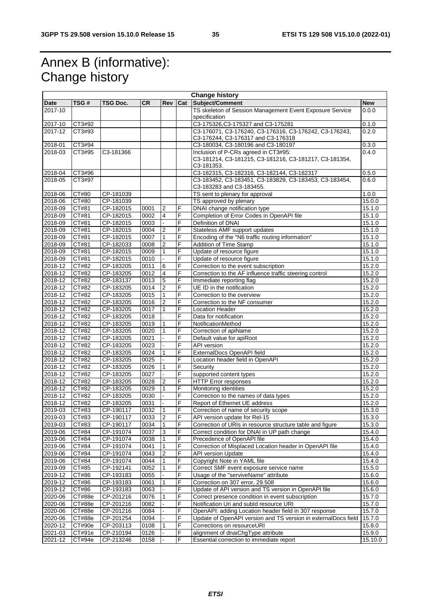# Annex B (informative): Change history

|             | <b>Change history</b> |           |           |                |                |                                                                                    |            |
|-------------|-----------------------|-----------|-----------|----------------|----------------|------------------------------------------------------------------------------------|------------|
| <b>Date</b> | TSG#                  | TSG Doc.  | <b>CR</b> | Rev            | Cat            | Subject/Comment                                                                    | <b>New</b> |
| 2017-10     |                       |           |           |                |                | TS skeleton of Session Management Event Exposure Service                           | 0.0.0      |
|             |                       |           |           |                |                | specification                                                                      |            |
| 2017-10     | CT3#92                |           |           |                |                | C3-175326, C3-175327 and C3-175281                                                 | 0.1.0      |
| 2017-12     | CT3#93                |           |           |                |                | C3-176071, C3-176240, C3-176316, C3-176242, C3-176243,                             | 0.2.0      |
|             |                       |           |           |                |                | C3-176244, C3-176317 and C3-176318                                                 |            |
| 2018-01     | CT3#94                |           |           |                |                | C3-180034, C3-180196 and C3-180197                                                 | 0.3.0      |
| 2018-03     | CT3#95                | C3-181366 |           |                |                | Inclusion of P-CRs agreed in CT3#95:                                               | 0.4.0      |
|             |                       |           |           |                |                | C3-181214, C3-181215, C3-181216, C3-181217, C3-181354,                             |            |
|             |                       |           |           |                |                | C3-181353.                                                                         |            |
| 2018-04     | CT3#96                |           |           |                |                | C3-182315, C3-182316, C3-182144, C3-182317                                         | 0.5.0      |
| 2018-05     | CT3#97                |           |           |                |                | C3-183452, C3-183451, C3-183829, C3-183453, C3-183454,<br>C3-183283 and C3-183455. | 0.6.0      |
| 2018-06     | CT#80                 | CP-181039 |           |                |                | TS sent to plenary for approval                                                    | 1.0.0      |
| 2018-06     | CT#80                 | CP-181039 |           |                |                | TS approved by plenary                                                             | 15.0.0     |
| 2018-09     | CT#81                 | CP-182015 | 0001      | 2              | F              | DNAI change notification type                                                      | 15.1.0     |
| $2018 - 09$ | CT#81                 | CP-182015 | 0002      | 4              | F              | Completion of Error Codes in OpenAPI file                                          | 15.1.0     |
| 2018-09     | CT#81                 | CP-182015 | 0003      |                | F              | Definition of DNAI                                                                 | 15.1.0     |
| 2018-09     | CT#81                 | CP-182015 | 0004      | 2              | F              | Stateless AMF support updates                                                      | 15.1.0     |
| 2018-09     | CT#81                 | CP-182015 | 0007      | $\mathbf{1}$   | F              | Encoding of the "N6 traffic routing information"                                   | 15.1.0     |
| 2018-09     | CT#81                 | CP-182033 | 0008      | $\overline{2}$ | F              | Addition of Time Stamp                                                             | 15.1.0     |
| 2018-09     | CT#81                 | CP-182015 | 0009      | 1              | F              | Update of resource figure                                                          | 15.1.0     |
| 2018-09     | CT#81                 | CP-182015 | 0010      |                | F              | Update of resource figure                                                          | 15.1.0     |
| 2018-12     | CT#82                 | CP-183205 | 0011      | 6              | F              | Correction to the event subscription                                               | 15.2.0     |
| $2018 - 12$ | CT#82                 | CP-183205 | 0012      | 4              | F              | Correction to the AF influence traffic steering control                            | 15.2.0     |
| 2018-12     | CT#82                 | CP-183137 | 0013      | 5              | F              | Immediate reporting flag                                                           | 15.2.0     |
| 2018-12     | CT#82                 | CP-183205 | 0014      | $\overline{2}$ | F              | UE ID in the notification                                                          | 15.2.0     |
| $2018 - 12$ | CT#82                 | CP-183205 | 0015      | 1              | F              | Correction to the overview                                                         | 15.2.0     |
| 2018-12     | CT#82                 | CP-183205 | 0016      | 2              | F              | Correction to the NF consumer                                                      | 15.2.0     |
| 2018-12     | CT#82                 | CP-183205 | 0017      | $\mathbf{1}$   | F              | <b>Location Header</b>                                                             | 15.2.0     |
| $2018 - 12$ | CT#82                 | CP-183205 | 0018      |                | F              | Data for notification                                                              | 15.2.0     |
| 2018-12     | CT#82                 | CP-183205 | 0019      | 1              | F              | NotificationMethod                                                                 | 15.2.0     |
| 2018-12     | CT#82                 | CP-183205 | 0020      | $\mathbf{1}$   | F              | Correction of apiName                                                              | 15.2.0     |
| 2018-12     | CT#82                 | CP-183205 | 0021      |                | F              | Default value for apiRoot                                                          | 15.2.0     |
| 2018-12     | CT#82                 | CP-183205 | 0023      |                | F              | API version                                                                        | 15.2.0     |
| 2018-12     | CT#82                 | CP-183205 | 0024      | 1              | F              | ExternalDocs OpenAPI field                                                         | 15.2.0     |
| 2018-12     | CT#82                 | CP-183205 | 0025      |                | F              | Location header field in OpenAPI                                                   | 15.2.0     |
| 2018-12     | CT#82                 | CP-183205 | 0026      | 1              | F              | Security                                                                           | 15.2.0     |
| 2018-12     | <b>CT#82</b>          | CP-183205 | 0027      |                | F              | supported content types                                                            | 15.2.0     |
| 2018-12     | CT#82                 | CP-183205 | 0028      | $\overline{2}$ | F              | <b>HTTP Error responses</b>                                                        | 15.2.0     |
| 2018-12     | CT#82                 | CP-183205 | 0029      | 1              | F              | Monitoring identities                                                              | 15.2.0     |
| 2018-12     | CT#82                 | CP-183205 | 0030      |                | F              | Correction to the names of data types                                              | 15.2.0     |
| 2018-12     | CT#82                 | CP-183205 | 0031      |                | F              | Report of Ethernet UE address                                                      | 15.2.0     |
| 2019-03     | CT#83                 | CP-190117 | 0032      | 1              | F              | Correction of name of security scope                                               | 15.3.0     |
| 2019-03     | CT#83                 | CP-190117 | 0033      | $\overline{2}$ | F              | API version update for Rel-15                                                      | 15.3.0     |
| 2019-03     | CT#83                 | CP-190117 | 0034      | $\mathbf{1}$   | F              | Correction of URIs in resource structure table and figure                          | 15.3.0     |
| 2019-06     | CT#84                 | CP-191074 | 0037      | 3              | F              | Correct condition for DNAI in UP path change                                       | 15.4.0     |
| 2019-06     | CT#84                 | CP-191074 | 0038      | 1              | F              | Precedence of OpenAPI file                                                         | 15.4.0     |
| $2019 - 06$ | CT#84                 | CP-191074 | 0041      | 1              | F              | Correction of Misplaced Location header in OpenAPI file                            | 15.4.0     |
| 2019-06     | CT#84                 | CP-191074 | 0043      | 2              | F              | API version Update                                                                 | 15.4.0     |
| 2019-06     | CT#84                 | CP-191074 | 0044      | 1              | F              | Copyright Note in YAML file                                                        | 15.4.0     |
| 2019-09     | CT#85                 | CP-192141 | 0052      | 1              | F              | Correct SMF event exposure service name                                            | 15.5.0     |
| 2019-12     | CT#86                 | CP-193183 | 0055      |                | F              | Usage of the "serviveName" attribute                                               | 15.6.0     |
| 2019-12     | CT#86                 | CP-193183 | 0061      | 1              | F              | Correction on 307 error, 29.508                                                    | 15.6.0     |
| 2019-12     | CT#86                 | CP-193183 | 0063      |                | F              | Update of API version and TS version in OpenAPI file                               | 15.6.0     |
| 2020-06     | CT#88e                | CP-201216 | 0076      | 1              | F              | Correct presence condition in event subscription                                   | 15.7.0     |
| 2020-06     | <b>CT#88e</b>         | CP-201216 | 0082      |                | F              | Notification Uri and subld resource URI                                            | 15.7.0     |
| 2020-06     | CT#88e                | CP-201216 | 0084      |                | F              | OpenAPI: adding Location header field in 307 response                              | 15.7.0     |
| 2020-06     | CT#88e                | CP-201254 | 0094      |                | F              | Update of OpenAPI version and TS version in externalDocs field                     | 15.7.0     |
| 2020-12     | CT#90e                | CP-203113 | 0108      | 1              | F              | Corrections on resourceURI                                                         | 15.8.0     |
| 2021-03     | CT#91e                | CP-210194 | 0126      |                | F              | alignment of dnaiChgType attribute                                                 | 15.9.0     |
| 2021-12     | CT#94e                | CP-213246 | 0158      |                | $\overline{F}$ | Essential correction to immediate report                                           | 15.10.0    |